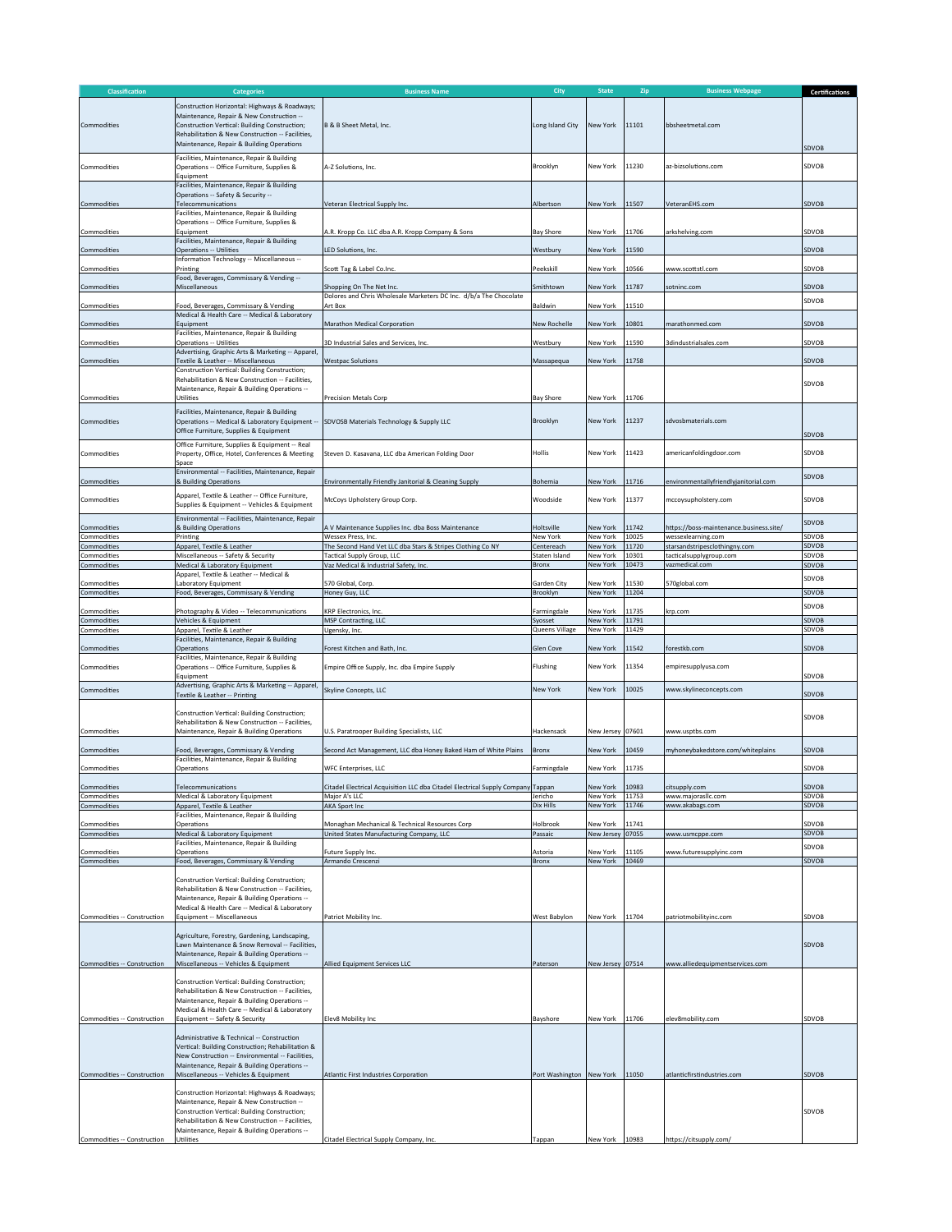| Classification              | <b>Categories</b>                                                                                                                                                                                                                                                                                                                    | <b>Business Name</b>                                                                             | City                        | <b>State</b>           | Zip            | <b>Business Webpage</b>                                       | <b>Certifications</b> |
|-----------------------------|--------------------------------------------------------------------------------------------------------------------------------------------------------------------------------------------------------------------------------------------------------------------------------------------------------------------------------------|--------------------------------------------------------------------------------------------------|-----------------------------|------------------------|----------------|---------------------------------------------------------------|-----------------------|
| Commodities                 | Construction Horizontal: Highways & Roadways;<br>Maintenance, Repair & New Construction --<br>Construction Vertical: Building Construction:<br>Rehabilitation & New Construction -- Facilities,<br>Maintenance, Repair & Building Operations                                                                                         | B & B Sheet Metal, Inc.                                                                          | Long Island City            | New York               | 11101          | bbsheetmetal.com                                              | SDVOB                 |
| Commodities                 | Facilities, Maintenance, Repair & Building<br>Operations -- Office Furniture, Supplies &<br>Equipment                                                                                                                                                                                                                                | A-Z Solutions, Inc.                                                                              | Brooklyn                    | New York               | 11230          | az-bizsolutions.com                                           | SDVOB                 |
| Commodities                 | Facilities, Maintenance, Repair & Building<br>Operations -- Safety & Security --<br>Telecommunications<br>Facilities, Maintenance, Repair & Building                                                                                                                                                                                 | Veteran Electrical Supply Inc.                                                                   | Albertson                   | New York               | 11507          | VeteranEHS.com                                                | <b>SDVOB</b>          |
| Commodities                 | Operations -- Office Furniture, Supplies &<br>Equipment                                                                                                                                                                                                                                                                              | A.R. Kropp Co. LLC dba A.R. Kropp Company & Sons                                                 | <b>Bay Shore</b>            | New York               | 11706          | arkshelving.com                                               | SDVOB                 |
| Commodities                 | Facilities, Maintenance, Repair & Building<br><b>Operations -- Utilities</b>                                                                                                                                                                                                                                                         | LED Solutions, Inc.                                                                              | Westbury                    | New York               | 11590          |                                                               | SDVOB                 |
| Commodities                 | Information Technology -- Miscellaneous --<br>Printing                                                                                                                                                                                                                                                                               | Scott Tag & Label Co.Inc.                                                                        | Peekskill                   | New York               | 10566          | www.scottstl.com                                              | SDVOB                 |
| Commodities                 | Food, Beverages, Commissary & Vending --<br>Miscellaneous                                                                                                                                                                                                                                                                            | Shopping On The Net Inc.                                                                         | Smithtown                   | New York               | 11787          | sotninc.com                                                   | SDVOB                 |
| Commodities                 | Food, Beverages, Commissary & Vending                                                                                                                                                                                                                                                                                                | Dolores and Chris Wholesale Marketers DC Inc. d/b/a The Chocolate<br>Art Box                     | Baldwin                     | New York               | 11510          |                                                               | SDVOB                 |
| Commodities                 | Medical & Health Care -- Medical & Laboratory<br>Equipment                                                                                                                                                                                                                                                                           | Marathon Medical Corporation                                                                     | New Rochelle                | New York               | 10801          | marathonmed.com                                               | SDVOB                 |
| Commodities                 | Facilities, Maintenance, Repair & Building<br>Operations -- Utilities                                                                                                                                                                                                                                                                | 3D Industrial Sales and Services, Inc.                                                           | Westbury                    | New York               | 11590          | 3dindustrialsales.com                                         | SDVOB                 |
| Commodities                 | Advertising, Graphic Arts & Marketing -- Apparel,<br>Textile & Leather -- Miscellaneous                                                                                                                                                                                                                                              | <b>Westpac Solutions</b>                                                                         | Massapequa                  | New York               | 11758          |                                                               | SDVOB                 |
|                             | Construction Vertical: Building Construction;<br>Rehabilitation & New Construction -- Facilities,                                                                                                                                                                                                                                    |                                                                                                  |                             |                        |                |                                                               |                       |
| Commodities                 | Maintenance, Repair & Building Operations --<br>Utilities                                                                                                                                                                                                                                                                            | <b>Precision Metals Corp</b>                                                                     | <b>Bay Shore</b>            | New York               | 11706          |                                                               | SDVOB                 |
| Commodities                 | Facilities, Maintenance, Repair & Building<br>Operations -- Medical & Laboratory Equipment --<br>Office Furniture, Supplies & Equipment                                                                                                                                                                                              | SDVOSB Materials Technology & Supply LLC                                                         | Brooklyn                    | New York               | 11237          | sdvosbmaterials.com                                           |                       |
| Commodities                 | Office Furniture, Supplies & Equipment -- Real<br>Property, Office, Hotel, Conferences & Meeting<br>Space                                                                                                                                                                                                                            | Steven D. Kasavana, LLC dba American Folding Door                                                | Hollis                      | New York               | 11423          | americanfoldingdoor.com                                       | SDVOB<br>SDVOB        |
| Commodities                 | Environmental -- Facilities, Maintenance, Repair<br>& Building Operations                                                                                                                                                                                                                                                            | Environmentally Friendly Janitorial & Cleaning Supply                                            | Bohemia                     | New York               | 11716          | environmentallyfriendlyjanitorial.com                         | SDVOB                 |
| Commodities                 | Apparel, Textile & Leather -- Office Furniture,<br>Supplies & Equipment -- Vehicles & Equipment                                                                                                                                                                                                                                      | McCoys Upholstery Group Corp.                                                                    | Woodside                    | New York               | 11377          | mccoysupholstery.com                                          | SDVOB                 |
| Commodities<br>Commodities  | Environmental -- Facilities, Maintenance, Repair<br>& Building Operations<br>Printing                                                                                                                                                                                                                                                | A V Maintenance Supplies Inc. dba Boss Maintenance<br>Wessex Press, Inc.                         | Holtsville<br>New York      | New York<br>New York   | 11742<br>10025 | https://boss-maintenance.business.site/<br>wessexlearning.com | SDVOB<br>SDVOB        |
| Commodities                 | Apparel, Textile & Leather                                                                                                                                                                                                                                                                                                           | The Second Hand Vet LLC dba Stars & Stripes Clothing Co NY                                       | Centereach<br>Staten Island | New York<br>New York   | 11720<br>10301 | starsandstripesclothingny.com                                 | SDVOB                 |
| Commodities<br>Commodities  | Miscellaneous -- Safety & Security<br>Medical & Laboratory Equipment                                                                                                                                                                                                                                                                 | Tactical Supply Group, LLC<br>Vaz Medical & Industrial Safety, Inc.                              | Bronx                       | New York               | 10473          | tacticalsupplygroup.com<br>vazmedical.com                     | SDVOB<br>SDVOB        |
| Commodities                 | Apparel, Textile & Leather -- Medical &<br>Laboratory Equipment                                                                                                                                                                                                                                                                      | 570 Global, Corp                                                                                 | Garden City                 | New York               | 11530          | 570global.com                                                 | SDVOB                 |
| Commodities                 | Food, Beverages, Commissary & Vending                                                                                                                                                                                                                                                                                                | Honey Guy, LLC                                                                                   | Brooklyn                    | New York               | 11204          |                                                               | SDVOB                 |
| Commodities                 | Photography & Video -- Telecommunications                                                                                                                                                                                                                                                                                            | KRP Electronics, Inc.                                                                            | Farmingdale                 | New York               | 11735          | krp.com                                                       | SDVOB                 |
| Commodities<br>Commodities  | Vehicles & Equipment<br>Apparel, Textile & Leather                                                                                                                                                                                                                                                                                   | MSP Contracting, LLC<br>Ugensky, Inc.                                                            | Syosset<br>Queens Village   | New York<br>New York   | 11791<br>11429 |                                                               | SDVOB<br>SDVOB        |
| Commodities                 | Facilities, Maintenance, Repair & Building<br>Operations                                                                                                                                                                                                                                                                             | Forest Kitchen and Bath, Inc.                                                                    | Glen Cove                   | New York               | 11542          | forestkb.com                                                  | SDVOB                 |
| Commodities                 | Facilities, Maintenance, Repair & Building<br>Operations -- Office Furniture, Supplies &<br>Equipment                                                                                                                                                                                                                                | Empire Office Supply, Inc. dba Empire Supply                                                     | Flushing                    | New York               | 11354          | empiresupplyusa.com                                           | SDVOB                 |
| Commodities                 | Advertising, Graphic Arts & Marketing -- Apparel,<br>Textile & Leather -- Printing                                                                                                                                                                                                                                                   | Skyline Concepts, LLC                                                                            | New York                    | New York               | 10025          | www.skylineconcepts.com                                       | <b>SDVOB</b>          |
|                             | Construction Vertical: Building Construction;<br>Rehabilitation & New Construction -- Facilities.                                                                                                                                                                                                                                    |                                                                                                  |                             |                        |                |                                                               | SDVOB                 |
| Commodities                 | Maintenance, Repair & Building Operations                                                                                                                                                                                                                                                                                            | U.S. Paratrooper Building Specialists, LLC                                                       | Hackensack                  | New Jersey             | 07601          | www.usptbs.com                                                |                       |
| Commodities                 | Food, Beverages, Commissary & Vending<br>Facilities, Maintenance, Repair & Building                                                                                                                                                                                                                                                  | Second Act Management, LLC dba Honey Baked Ham of White Plains                                   | Bronx                       | New York               | 10459          | myhoneybakedstore.com/whiteplains                             | SDVOB                 |
| Commodities                 | Operations                                                                                                                                                                                                                                                                                                                           | WFC Enterprises, LLC                                                                             | Farmingdale                 | New York               | 11735          |                                                               | SDVOB                 |
| Commodities<br>Commodities  | Telecommunications<br>Medical & Laboratory Equipment                                                                                                                                                                                                                                                                                 | Citadel Electrical Acquisition LLC dba Citadel Electrical Supply Company Tappan<br>Major A's LLC | lericho                     | New York<br>New York   | 10983<br>11753 | citsupply.com<br>www.majorasllc.com                           | SDVOB<br>SDVOB        |
| Commodities                 | Apparel, Textile & Leather<br>Facilities, Maintenance, Repair & Building                                                                                                                                                                                                                                                             | AKA Sport Inc                                                                                    | Dix Hills                   | New York               | 11746          | www.akabags.com                                               | SDVOB                 |
| Commodities<br>Commodities  | Operations<br>Medical & Laboratory Equipment                                                                                                                                                                                                                                                                                         | Monaghan Mechanical & Technical Resources Corp<br>United States Manufacturing Company, LLC       | Holbrook<br>Passaic         | New York<br>New Jersey | 11741<br>07055 |                                                               | SDVOB<br>SDVOB        |
|                             | Facilities, Maintenance, Repair & Building                                                                                                                                                                                                                                                                                           |                                                                                                  |                             |                        |                | www.usmcppe.com                                               | SDVOB                 |
| Commodities<br>Commodities  | Operations<br>Food, Beverages, Commissary & Vending                                                                                                                                                                                                                                                                                  | Future Supply Inc.<br>Armando Crescenzi                                                          | Astoria<br>Bronx            | New York<br>New York   | 11105<br>10469 | www.futuresupplyinc.com                                       | SDVOB                 |
| Commodities -- Construction | Construction Vertical: Building Construction;<br>Rehabilitation & New Construction -- Facilities,<br>Maintenance, Repair & Building Operations --<br>Medical & Health Care -- Medical & Laboratory<br>Equipment -- Miscellaneous<br>Agriculture, Forestry, Gardening, Landscaping,<br>Lawn Maintenance & Snow Removal -- Facilities, | Patriot Mobility Inc                                                                             | West Babylon                | New York               | 11704          | patriotmobilityinc.com                                        | SDVOB<br>SDVOB        |
| Commodities -- Construction | Maintenance, Repair & Building Operations --<br>Miscellaneous -- Vehicles & Equipment                                                                                                                                                                                                                                                | Allied Equipment Services LLC                                                                    | Paterson                    | New Jersey 07514       |                | www.alliedequipmentservices.com                               |                       |
| Commodities -- Construction | Construction Vertical: Building Construction;<br>Rehabilitation & New Construction -- Facilities,<br>Maintenance, Repair & Building Operations --<br>Medical & Health Care -- Medical & Laboratory<br>Equipment -- Safety & Security                                                                                                 | Elev8 Mobility Inc                                                                               | Bayshore                    | New York               | 11706          | elev8mobility.com                                             | SDVOB                 |
| Commodities -- Construction | Administrative & Technical -- Construction<br>Vertical: Building Construction; Rehabilitation &<br>New Construction -- Environmental -- Facilities,<br>Maintenance, Repair & Building Operations --<br>Miscellaneous -- Vehicles & Equipment                                                                                         | Atlantic First Industries Corporation                                                            | Port Washington New York    |                        | 11050          | atlanticfirstindustries.com                                   | SDVOB                 |
| Commodities -- Construction | Construction Horizontal: Highways & Roadways;<br>Maintenance, Repair & New Construction --<br>Construction Vertical: Building Construction;<br>Rehabilitation & New Construction -- Facilities,<br>Maintenance, Repair & Building Operations --<br>Utilities                                                                         | Citadel Electrical Supply Company, Inc.                                                          | Tappan                      | New York 10983         |                | https://citsupply.com/                                        | SDVOB                 |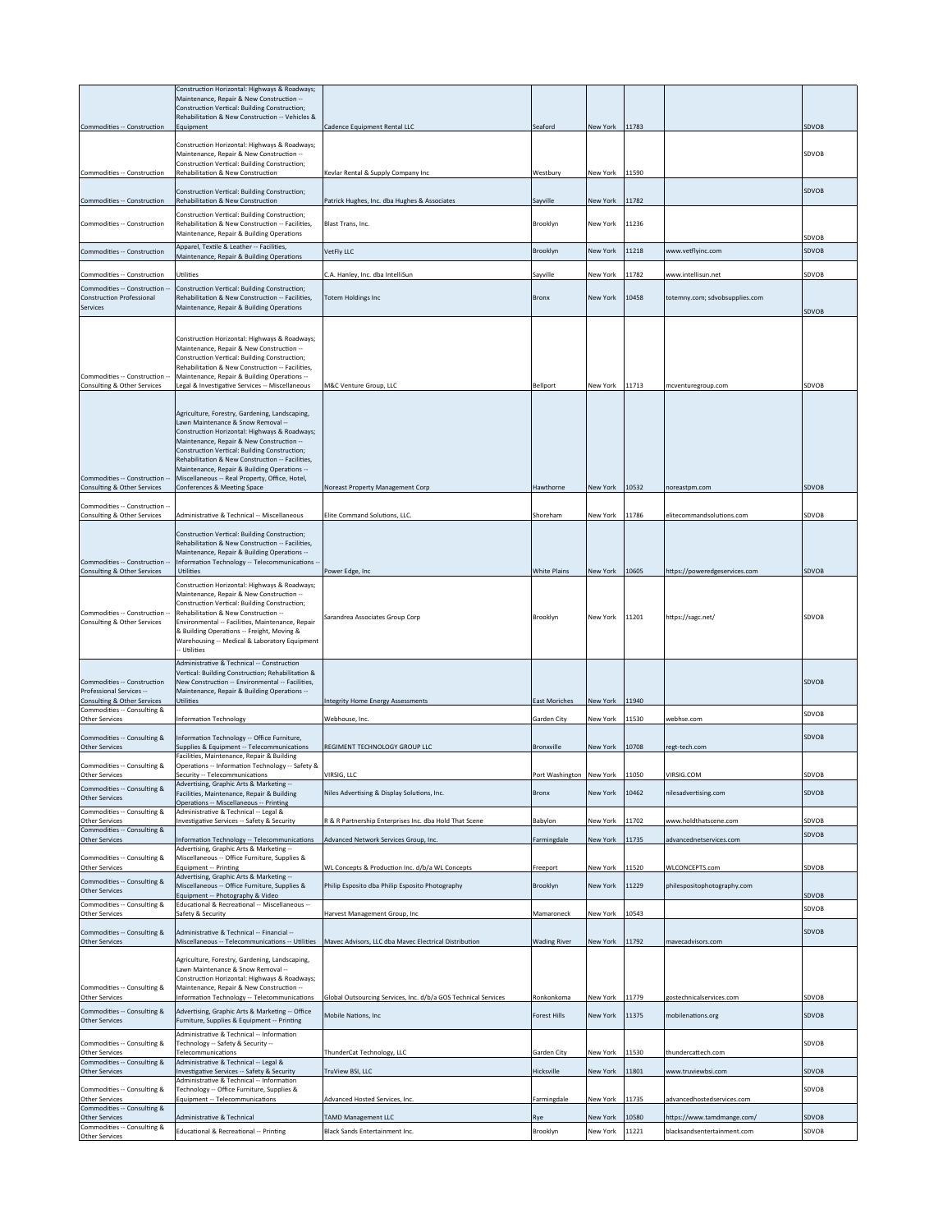| Commodities -- Construction                                                                       | Construction Horizontal: Highways & Roadways;<br>Maintenance, Repair & New Construction --<br>Construction Vertical: Building Construction;<br>Rehabilitation & New Construction -- Vehicles &<br>Equipment                                                                                                                                                                               | Cadence Equipment Rental LLC                                                                           | Seaford                   | New York             | 11783          |                                                  | SDVOB          |
|---------------------------------------------------------------------------------------------------|-------------------------------------------------------------------------------------------------------------------------------------------------------------------------------------------------------------------------------------------------------------------------------------------------------------------------------------------------------------------------------------------|--------------------------------------------------------------------------------------------------------|---------------------------|----------------------|----------------|--------------------------------------------------|----------------|
| Commodities -- Construction                                                                       | Construction Horizontal: Highways & Roadways;<br>Maintenance, Repair & New Construction --<br>Construction Vertical: Building Construction;<br>Rehabilitation & New Construction                                                                                                                                                                                                          | Kevlar Rental & Supply Company Inc                                                                     | Westbury                  | New York             | 11590          |                                                  | SDVOB          |
| Commodities -- Construction                                                                       | Construction Vertical: Building Construction;<br>Rehabilitation & New Construction                                                                                                                                                                                                                                                                                                        | Patrick Hughes, Inc. dba Hughes & Associates                                                           | Sayville                  | New York             | 11782          |                                                  | SDVOB          |
| Commodities -- Construction                                                                       | Construction Vertical: Building Construction;<br>Rehabilitation & New Construction -- Facilities,                                                                                                                                                                                                                                                                                         | Blast Trans, Inc.                                                                                      | Brooklyn                  | New York             | 11236          |                                                  |                |
| Commodities -- Construction                                                                       | Maintenance, Repair & Building Operations<br>Apparel, Textile & Leather -- Facilities,<br>Maintenance, Repair & Building Operations                                                                                                                                                                                                                                                       | <b>VetFly LLC</b>                                                                                      | Brooklyn                  | <b>New York</b>      | 11218          | www.vetflyinc.com                                | SDVOB<br>SDVOB |
| Commodities -- Construction                                                                       | Utilities                                                                                                                                                                                                                                                                                                                                                                                 | C.A. Hanley, Inc. dba IntelliSun                                                                       | Sayville                  | New York             | 11782          | www.intellisun.net                               | SDVOB          |
| Commodities -- Construction --<br><b>Construction Professional</b><br>Services                    | Construction Vertical: Building Construction;<br>Rehabilitation & New Construction -- Eacilities.<br>Maintenance, Repair & Building Operations                                                                                                                                                                                                                                            | <b>Totem Holdings Inc</b>                                                                              | Bronx                     | New York             | 10458          | totemny.com; sdvobsupplies.com                   | SDVOB          |
| Commodities -- Construction<br>Consulting & Other Services                                        | Construction Horizontal: Highways & Roadways;<br>Maintenance, Repair & New Construction --<br>Construction Vertical: Building Construction;<br>Rehabilitation & New Construction -- Facilities,<br>Maintenance, Repair & Building Operations --<br>Legal & Investigative Services -- Miscellaneous                                                                                        | M&C Venture Group, LLC                                                                                 | Bellport                  | New York             | 11713          | mcventuregroup.com                               | SDVOB          |
| Commodities -- Construction --                                                                    | Agriculture, Forestry, Gardening, Landscaping,<br>Lawn Maintenance & Snow Removal --<br>Construction Horizontal: Highways & Roadways;<br>Maintenance, Repair & New Construction --<br>Construction Vertical: Building Construction;<br>Rehabilitation & New Construction -- Facilities,<br>Maintenance, Repair & Building Operations --<br>Miscellaneous -- Real Property, Office, Hotel, |                                                                                                        |                           |                      |                |                                                  |                |
| Consulting & Other Services                                                                       | Conferences & Meeting Space                                                                                                                                                                                                                                                                                                                                                               | Noreast Property Management Corp                                                                       | Hawthorne                 | New York             | 10532          | noreastpm.com                                    | SDVOB          |
| Commodities -- Construction --<br>Consulting & Other Services                                     | Administrative & Technical -- Miscellaneous                                                                                                                                                                                                                                                                                                                                               | Elite Command Solutions, LLC.                                                                          | Shoreham                  | New York             | 11786          | elitecommandsolutions.com                        | SDVOB          |
| Commodities -- Construction --<br>Consulting & Other Services                                     | Construction Vertical: Building Construction;<br>Rehabilitation & New Construction -- Facilities,<br>Maintenance, Repair & Building Operations --<br>Information Technology -- Telecommunications -<br>Utilities                                                                                                                                                                          | Power Edge, Inc                                                                                        | <b>White Plains</b>       | New York             | 10605          | https://poweredgeservices.com                    | SDVOB          |
| Commodities -- Construction --<br>Consulting & Other Services                                     | Construction Horizontal: Highways & Roadways;<br>Maintenance, Repair & New Construction --<br>Construction Vertical: Building Construction;<br>Rehabilitation & New Construction --<br>Environmental -- Facilities, Maintenance, Repair<br>& Building Operations -- Freight, Moving &<br>Warehousing -- Medical & Laboratory Equipment<br>- Utilities                                     | Sarandrea Associates Group Corp                                                                        | Brooklyn                  | New York             | 11201          | https://sagc.net/                                | SDVOB          |
| Commodities -- Construction<br>Professional Services --<br><b>Consulting &amp; Other Services</b> | Administrative & Technical -- Construction<br>Vertical: Building Construction; Rehabilitation &<br>New Construction -- Environmental -- Facilities,<br>Maintenance, Repair & Building Operations --<br>Utilities                                                                                                                                                                          | <b>Integrity Home Energy Assessments</b>                                                               | <b>East Moriches</b>      | New York             | 11940          |                                                  | <b>SDVOB</b>   |
| Commodities -- Consulting &<br>Other Services                                                     | <b>Information Technology</b>                                                                                                                                                                                                                                                                                                                                                             | Webhouse, Inc.                                                                                         | Garden City               | New York             | 11530          | webhse.com                                       | SDVOB          |
| Commodities -- Consulting &<br>Other Services                                                     | Information Technology -- Office Furniture,<br>Supplies & Equipment -- Telecommunications<br>Facilities, Maintenance, Repair & Building                                                                                                                                                                                                                                                   | REGIMENT TECHNOLOGY GROUP LLC                                                                          | <b>Bronxville</b>         | New York             | 10708          | regt-tech.com                                    | SDVOB          |
| Commodities -- Consulting &<br>Other Services                                                     | Operations -- Information Technology -- Safety &<br>Security -- Telecommunications                                                                                                                                                                                                                                                                                                        | VIRSIG, LLC                                                                                            | Port Washington New York  |                      | 11050          | VIRSIG.COM                                       | SDVOB          |
| Commodities -- Consulting &<br><b>Other Services</b>                                              | Advertising, Graphic Arts & Marketing --<br>Facilities, Maintenance, Repair & Building                                                                                                                                                                                                                                                                                                    | Niles Advertising & Display Solutions, Inc.                                                            | Bronx                     | New York             | 10462          | nilesadvertising.com                             | SDVOB          |
| Commodities -- Consulting &                                                                       | Operations -- Miscellaneous -- Printing<br>Administrative & Technical -- Legal &                                                                                                                                                                                                                                                                                                          |                                                                                                        |                           |                      |                |                                                  |                |
| <b>Other Services</b><br>Commodities -- Consulting &                                              | Investigative Services -- Safety & Security                                                                                                                                                                                                                                                                                                                                               | R & R Partnership Enterprises Inc. dba Hold That Scene                                                 | Babylon                   | New York             | 11702          | www.holdthatscene.com                            | SDVOB<br>SDVOB |
| <b>Other Services</b><br>Commodities -- Consulting &                                              | Information Technology -- Telecommunications<br>Advertising, Graphic Arts & Marketing --<br>Miscellaneous -- Office Furniture, Supplies &                                                                                                                                                                                                                                                 | Advanced Network Services Group, Inc.                                                                  | Farmingdale               | New York             | 11735          | advancednetservices.com                          |                |
| Other Services                                                                                    | Equipment -- Printing<br>Advertising, Graphic Arts & Marketing --                                                                                                                                                                                                                                                                                                                         | WL Concepts & Production Inc. d/b/a WL Concepts                                                        | Freeport                  | New York             | 11520          | WLCONCEPTS.com                                   | SDVOB          |
| Commodities -- Consulting &<br><b>Other Services</b>                                              | Miscellaneous -- Office Furniture, Supplies &<br>Equipment -- Photography & Video                                                                                                                                                                                                                                                                                                         | Philip Esposito dba Philip Esposito Photography                                                        | Brooklyn                  | New York             | 11229          | philespositophotography.com                      | SDVOB          |
| Commodities -- Consulting &<br>Other Services                                                     | Educational & Recreational -- Miscellaneous --<br>Safety & Security                                                                                                                                                                                                                                                                                                                       | Harvest Management Group, Inc                                                                          | Mamaroneck                | New York             | 10543          |                                                  | SDVOB          |
| Commodities -- Consulting &<br><b>Other Services</b>                                              | Administrative & Technical -- Financial --                                                                                                                                                                                                                                                                                                                                                | Miscellaneous -- Telecommunications -- Utilities Mavec Advisors, LLC dba Mavec Electrical Distribution | <b>Wading River</b>       | New York             | 11792          | mavecadvisors.com                                | SDVOB          |
| Commodities -- Consulting &<br>Other Services                                                     | Agriculture, Forestry, Gardening, Landscaping,<br>Lawn Maintenance & Snow Removal --<br>Construction Horizontal: Highways & Roadways;<br>Maintenance, Repair & New Construction --<br>Information Technology -- Telecommunications                                                                                                                                                        | Global Outsourcing Services, Inc. d/b/a GOS Technical Services                                         | Ronkonkoma                | New York             | 11779          | gostechnicalservices.com                         | SDVOB          |
| Commodities -- Consulting &<br>Other Services                                                     | Advertising, Graphic Arts & Marketing -- Office<br>Furniture, Supplies & Equipment -- Printing                                                                                                                                                                                                                                                                                            | Mobile Nations, Inc                                                                                    | Forest Hills              | New York             | 11375          | mobilenations.org                                | SDVOB          |
| Commodities -- Consulting &                                                                       | Administrative & Technical -- Information<br>Technology -- Safety & Security --                                                                                                                                                                                                                                                                                                           |                                                                                                        |                           |                      |                |                                                  | SDVOB          |
| <b>Other Services</b><br>Commodities -- Consulting &                                              | Telecommunications<br>Administrative & Technical -- Legal &                                                                                                                                                                                                                                                                                                                               | ThunderCat Technology, LLC                                                                             | Garden City               | New York             | 11530          | thundercattech.com                               |                |
| Other Services<br>Commodities -- Consulting &<br>Other Services                                   | Investigative Services -- Safety & Security<br>Administrative & Technical -- Information<br>Technology -- Office Furniture, Supplies &<br>Equipment -- Telecommunications                                                                                                                                                                                                                 | TruView BSI, LLC<br>Advanced Hosted Services, Inc.                                                     | Hicksville<br>Farmingdale | New York<br>New York | 11801<br>11735 | www.truviewbsi.com<br>advancedhostedservices.com | SDVOB<br>SDVOB |
| Commodities -- Consulting &<br>Other Services                                                     | Administrative & Technical                                                                                                                                                                                                                                                                                                                                                                | <b>TAMD Management LLC</b>                                                                             | Rye                       | New York             | 10580          | /1ttps://www.tamdmange.com                       | SDVOB          |
| Commodities -- Consulting &<br>Other Services                                                     | Educational & Recreational -- Printing                                                                                                                                                                                                                                                                                                                                                    | Black Sands Entertainment Inc.                                                                         | Brooklyn                  | New York             | 11221          | blacksandsentertainment.com                      | SDVOB          |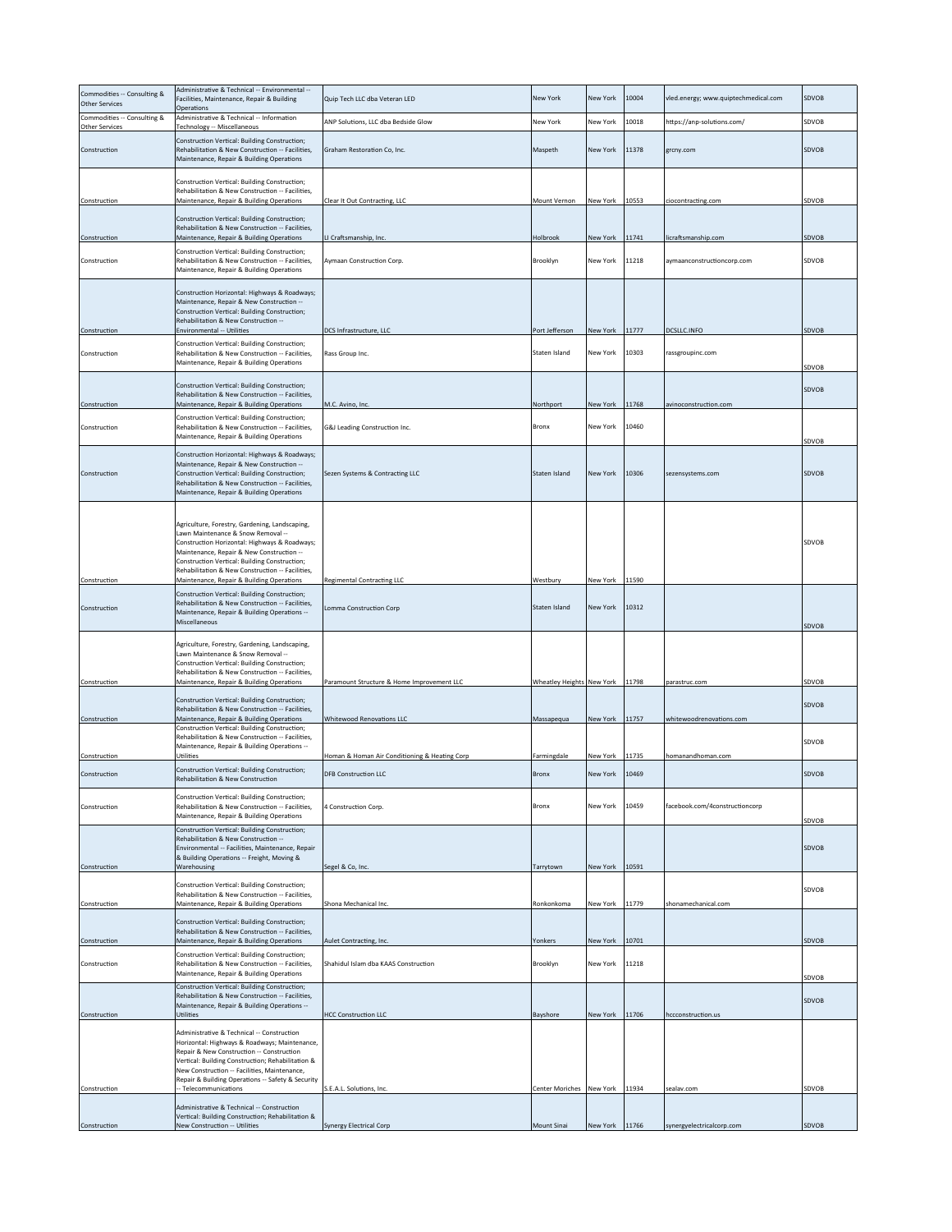| Commodities -- Consulting &<br>Other Services        | Administrative & Technical -- Environmental --<br>Facilities, Maintenance, Repair & Building<br>Operations                                                                                                                                                                                                                           | Quip Tech LLC dba Veteran LED                 | New York                  | <b>New York</b> | 10004 | vled.energy; www.quiptechmedical.com | SDVOB          |
|------------------------------------------------------|--------------------------------------------------------------------------------------------------------------------------------------------------------------------------------------------------------------------------------------------------------------------------------------------------------------------------------------|-----------------------------------------------|---------------------------|-----------------|-------|--------------------------------------|----------------|
| Commodities -- Consulting &<br><b>Other Services</b> | Administrative & Technical -- Information<br>Technology -- Miscellaneous                                                                                                                                                                                                                                                             | ANP Solutions, LLC dba Bedside Glow           | New York                  | New York        | 10018 | https://anp-solutions.com/           | SDVOB          |
| Construction                                         | Construction Vertical: Building Construction;<br>Rehabilitation & New Construction -- Facilities,<br>Maintenance, Repair & Building Operations                                                                                                                                                                                       | Graham Restoration Co, Inc.                   | Maspeth                   | <b>New York</b> | 11378 | grcny.com                            | SDVOB          |
| Construction                                         | Construction Vertical: Building Construction;<br>Rehabilitation & New Construction -- Facilities,<br>Maintenance, Repair & Building Operations                                                                                                                                                                                       | Clear It Out Contracting, LLC                 | Mount Vernon              | New York        | 10553 | ciocontracting.com                   | SDVOB          |
| Construction                                         | Construction Vertical: Building Construction;<br>Rehabilitation & New Construction -- Facilities,<br>Maintenance, Repair & Building Operations                                                                                                                                                                                       | LI Craftsmanship, Inc.                        | Holbrook                  | New York        | 11741 | licraftsmanship.com                  | SDVOB          |
| Construction                                         | Construction Vertical: Building Construction;<br>Rehabilitation & New Construction -- Facilities,<br>Maintenance, Repair & Building Operations                                                                                                                                                                                       | Aymaan Construction Corp.                     | Brooklyn                  | New York        | 11218 | aymaanconstructioncorp.com           | SDVOB          |
|                                                      | Construction Horizontal: Highways & Roadways;<br>Maintenance, Repair & New Construction --<br>Construction Vertical: Building Construction;<br>Rehabilitation & New Construction --                                                                                                                                                  |                                               |                           |                 |       |                                      |                |
| Construction                                         | Environmental -- Utilities<br>Construction Vertical: Building Construction;                                                                                                                                                                                                                                                          | DCS Infrastructure, LLC                       | Port Jefferson            | New York        | 11777 | DCSLLC.INFO                          | SDVOB          |
| Construction                                         | Rehabilitation & New Construction -- Facilities,<br>Maintenance, Repair & Building Operations                                                                                                                                                                                                                                        | Rass Group Inc.                               | Staten Island             | New York        | 10303 | rassgroupinc.com                     | SDVOB          |
| Construction                                         | Construction Vertical: Building Construction;<br>Rehabilitation & New Construction -- Facilities,<br>Maintenance, Repair & Building Operations                                                                                                                                                                                       | M.C. Avino, Inc.                              | Northport                 | New York        | 11768 | avinoconstruction.com                | SDVOB          |
| Construction                                         | Construction Vertical: Building Construction;<br>Rehabilitation & New Construction -- Facilities,<br>Maintenance, Repair & Building Operations                                                                                                                                                                                       | G&J Leading Construction Inc.                 | Bronx                     | New York        | 10460 |                                      |                |
| Construction                                         | Construction Horizontal: Highways & Roadways;<br>Maintenance, Repair & New Construction --<br>Construction Vertical: Building Construction;<br>Rehabilitation & New Construction -- Facilities,<br>Maintenance, Repair & Building Operations                                                                                         | Sezen Systems & Contracting LLC               | Staten Island             | New York        | 10306 | sezensystems.com                     | SDVOB<br>SDVOB |
| Construction                                         | Agriculture, Forestry, Gardening, Landscaping,<br>Lawn Maintenance & Snow Removal --<br>Construction Horizontal: Highways & Roadways;<br>Maintenance, Repair & New Construction --<br>Construction Vertical: Building Construction;<br>Rehabilitation & New Construction -- Facilities,<br>Maintenance, Repair & Building Operations | <b>Regimental Contracting LLC</b>             | Westbury                  | New York        | 11590 |                                      | SDVOB          |
| Construction                                         | Construction Vertical: Building Construction;<br>Rehabilitation & New Construction -- Facilities,<br>Maintenance, Repair & Building Operations --<br>Miscellaneous                                                                                                                                                                   | Lomma Construction Corp                       | Staten Island             | New York        | 10312 |                                      | SDVOB          |
| Construction                                         | Agriculture, Forestry, Gardening, Landscaping,<br>Lawn Maintenance & Snow Removal --<br>Construction Vertical: Building Construction;<br>Rehabilitation & New Construction -- Facilities,<br>Maintenance, Repair & Building Operations                                                                                               | Paramount Structure & Home Improvement LLC    | Wheatley Heights New York |                 | 11798 | parastruc.com                        | SDVOB          |
| Construction                                         | Construction Vertical: Building Construction;<br>Rehabilitation & New Construction -- Facilities,<br>Maintenance, Repair & Building Operations                                                                                                                                                                                       | Whitewood Renovations LLC                     | Massapequa                | New York 11757  |       | whitewoodrenovations.com             | SDVOB          |
|                                                      | Construction Vertical: Building Construction;<br>Rehabilitation & New Construction -- Facilities,                                                                                                                                                                                                                                    |                                               |                           |                 |       |                                      |                |
| Construction                                         | Maintenance, Repair & Building Operations --<br>Utilities                                                                                                                                                                                                                                                                            | Homan & Homan Air Conditioning & Heating Corp | Farmingdale               | New York        | 11735 | homanandhoman.com                    | SDVOB          |
| Construction                                         | Construction Vertical: Building Construction;<br><b>Rehabilitation &amp; New Construction</b>                                                                                                                                                                                                                                        | <b>DFB Construction LLC</b>                   | Bronx                     | New York        | 10469 |                                      | SDVOB          |
| Construction                                         | Construction Vertical: Building Construction;<br>Rehabilitation & New Construction -- Facilities,<br>Maintenance, Repair & Building Operations                                                                                                                                                                                       | 4 Construction Corp.                          | Bronx                     | New York        | 10459 | facebook.com/4constructioncorp       | SDVOB          |
| Construction                                         | Construction Vertical: Building Construction;<br>Rehabilitation & New Construction --<br>Environmental -- Facilities, Maintenance, Repair<br>& Building Operations -- Freight, Moving &<br>Warehousing                                                                                                                               | Segel & Co, Inc.                              | Tarrytown                 | New York        | 10591 |                                      | SDVOB          |
| Construction                                         | Construction Vertical: Building Construction;<br>Rehabilitation & New Construction -- Facilities,<br>Maintenance, Repair & Building Operations                                                                                                                                                                                       | Shona Mechanical Inc.                         | Ronkonkoma                | New York        | 11779 | shonamechanical.com                  | SDVOB          |
|                                                      | Construction Vertical: Building Construction;                                                                                                                                                                                                                                                                                        |                                               |                           |                 |       |                                      |                |
| Construction                                         | Rehabilitation & New Construction -- Facilities,<br>Maintenance, Repair & Building Operations                                                                                                                                                                                                                                        | Aulet Contracting, Inc.                       | Yonkers                   | New York        | 10701 |                                      | SDVOB          |
| Construction                                         | Construction Vertical: Building Construction;<br>Rehabilitation & New Construction -- Facilities,<br>Maintenance, Repair & Building Operations                                                                                                                                                                                       | Shahidul Islam dba KAAS Construction          | Brooklyn                  | New York        | 11218 |                                      | SDVOB          |
| Construction                                         | Construction Vertical: Building Construction;<br>Rehabilitation & New Construction -- Facilities,<br>Maintenance, Repair & Building Operations --<br>Utilities                                                                                                                                                                       | <b>HCC Construction LLC</b>                   | Bayshore                  | New York        | 11706 | hccconstruction.us                   | SDVOB          |
|                                                      | Administrative & Technical -- Construction<br>Horizontal: Highways & Roadways; Maintenance,<br>Repair & New Construction -- Construction<br>Vertical: Building Construction; Rehabilitation &<br>New Construction -- Facilities, Maintenance,<br>Repair & Building Operations -- Safety & Security                                   |                                               |                           |                 |       |                                      |                |
| Construction                                         | Telecommunications<br>Administrative & Technical -- Construction                                                                                                                                                                                                                                                                     | S.E.A.L. Solutions, Inc.                      | <b>Center Moriches</b>    | New York        | 11934 | sealav.com                           | SDVOB          |
| Construction                                         | Vertical: Building Construction; Rehabilitation &<br>New Construction -- Utilities                                                                                                                                                                                                                                                   | Synergy Electrical Corp                       | Mount Sinai               | New York        | 11766 | synergyelectricalcorp.com            | SDVOB          |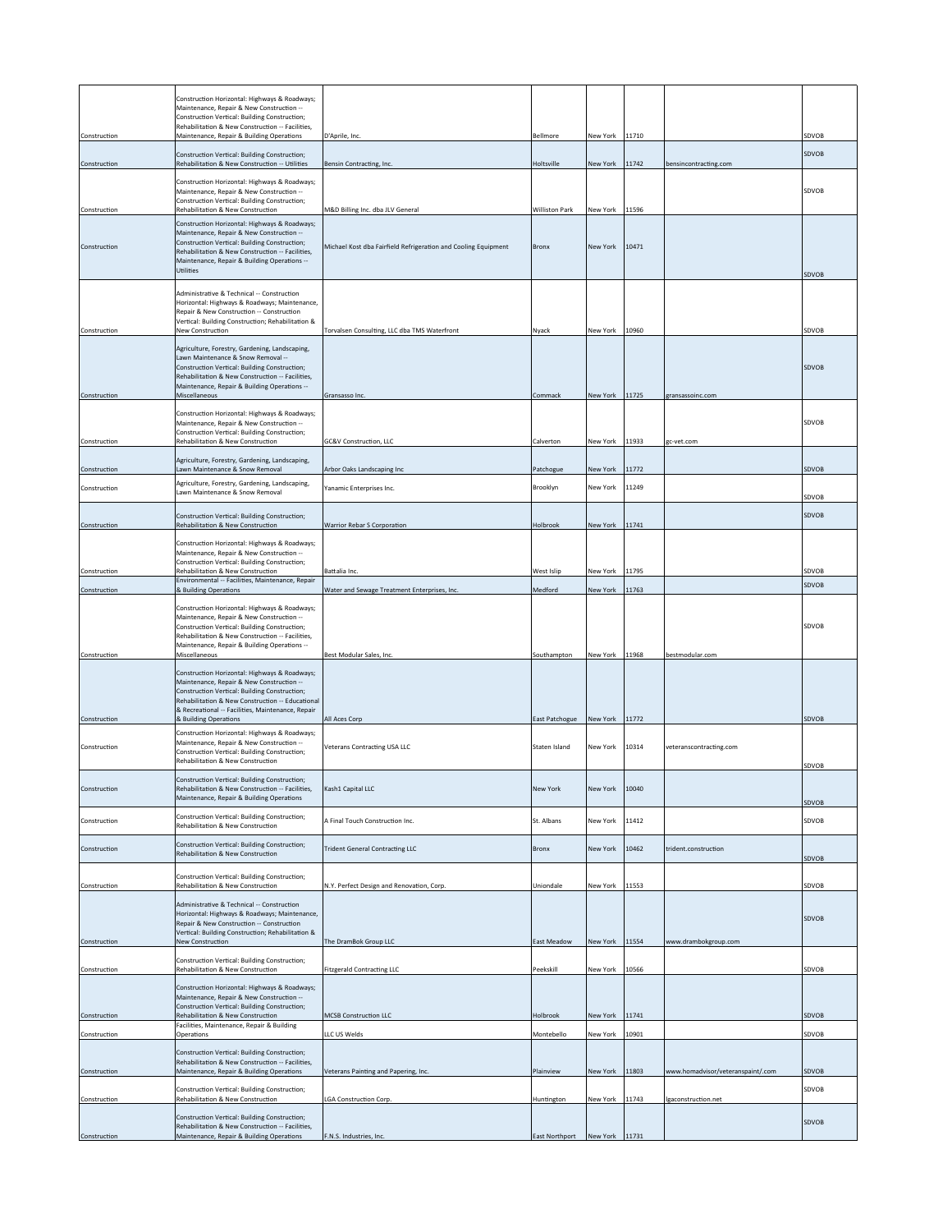|              | Construction Horizontal: Highways & Roadways;                                                     |                                                                |                |                |       |                                   |              |
|--------------|---------------------------------------------------------------------------------------------------|----------------------------------------------------------------|----------------|----------------|-------|-----------------------------------|--------------|
|              | Maintenance, Repair & New Construction --                                                         |                                                                |                |                |       |                                   |              |
|              | Construction Vertical: Building Construction;<br>Rehabilitation & New Construction -- Facilities, |                                                                |                |                |       |                                   |              |
| Construction | Maintenance, Repair & Building Operations                                                         | D'Aprile, Inc.                                                 | Bellmore       | New York       | 11710 |                                   | SDVOB        |
| Construction | Construction Vertical: Building Construction;<br>Rehabilitation & New Construction -- Utilities   | Bensin Contracting, Inc.                                       | Holtsville     | New York       | 11742 | bensincontracting.com             | <b>SDVOB</b> |
|              | Construction Horizontal: Highways & Roadways;                                                     |                                                                |                |                |       |                                   |              |
|              | Maintenance, Repair & New Construction --                                                         |                                                                |                |                |       |                                   | SDVOB        |
| Construction | Construction Vertical: Building Construction;<br>Rehabilitation & New Construction                | M&D Billing Inc. dba JLV General                               | Williston Park | New York 11596 |       |                                   |              |
|              | Construction Horizontal: Highways & Roadways;                                                     |                                                                |                |                |       |                                   |              |
| Construction | Maintenance, Repair & New Construction --<br>Construction Vertical: Building Construction;        | Michael Kost dba Fairfield Refrigeration and Cooling Equipment | Bronx          | New York       | 10471 |                                   |              |
|              | Rehabilitation & New Construction -- Facilities,<br>Maintenance, Repair & Building Operations --  |                                                                |                |                |       |                                   |              |
|              | Utilities                                                                                         |                                                                |                |                |       |                                   | SDVOB        |
|              | Administrative & Technical -- Construction                                                        |                                                                |                |                |       |                                   |              |
|              | Horizontal: Highways & Roadways; Maintenance,<br>Repair & New Construction -- Construction        |                                                                |                |                |       |                                   |              |
|              | Vertical: Building Construction; Rehabilitation &                                                 |                                                                |                | New York 10960 |       |                                   | SDVOB        |
| Construction | New Construction                                                                                  | Torvalsen Consulting, LLC dba TMS Waterfront                   | Nyack          |                |       |                                   |              |
|              | Agriculture, Forestry, Gardening, Landscaping,<br>Lawn Maintenance & Snow Removal --              |                                                                |                |                |       |                                   |              |
|              | Construction Vertical: Building Construction;<br>Rehabilitation & New Construction -- Facilities, |                                                                |                |                |       |                                   | <b>SDVOB</b> |
|              | Maintenance, Repair & Building Operations --                                                      |                                                                |                |                |       |                                   |              |
| Construction | Miscellaneous                                                                                     | Gransasso Inc.                                                 | Commack        | New York 11725 |       | gransassoinc.com                  |              |
|              | Construction Horizontal: Highways & Roadways;<br>Maintenance, Repair & New Construction --        |                                                                |                |                |       |                                   | SDVOB        |
| Construction | Construction Vertical: Building Construction;<br>Rehabilitation & New Construction                | GC&V Construction, LLC                                         | Calverton      | New York       | 11933 | gc-vet.com                        |              |
|              |                                                                                                   |                                                                |                |                |       |                                   |              |
| Construction | Agriculture, Forestry, Gardening, Landscaping,<br>Lawn Maintenance & Snow Removal                 | Arbor Oaks Landscaping Inc                                     | Patchogue      | New York       | 11772 |                                   | SDVOB        |
| Construction | Agriculture, Forestry, Gardening, Landscaping,<br>Lawn Maintenance & Snow Removal                 | Yanamic Enterprises Inc.                                       | Brooklyn       | New York       | 11249 |                                   |              |
|              |                                                                                                   |                                                                |                |                |       |                                   | SDVOB        |
| Construction | Construction Vertical: Building Construction;<br>Rehabilitation & New Construction                | Warrior Rebar S Corporation                                    | Holbrook       | New York       | 11741 |                                   | SDVOB        |
|              |                                                                                                   |                                                                |                |                |       |                                   |              |
|              | Construction Horizontal: Highways & Roadways;<br>Maintenance, Repair & New Construction --        |                                                                |                |                |       |                                   |              |
| Construction | Construction Vertical: Building Construction;<br>Rehabilitation & New Construction                | Battalia Inc.                                                  | West Islip     | New York       | 11795 |                                   | SDVOB        |
| Construction | Environmental -- Facilities, Maintenance, Repair<br>& Building Operations                         | Water and Sewage Treatment Enterprises, Inc.                   | Medford        | New York       | 11763 |                                   | SDVOB        |
|              |                                                                                                   |                                                                |                |                |       |                                   |              |
|              | Construction Horizontal: Highways & Roadways;<br>Maintenance, Repair & New Construction --        |                                                                |                |                |       |                                   |              |
|              | Construction Vertical: Building Construction;<br>Rehabilitation & New Construction -- Facilities, |                                                                |                |                |       |                                   | SDVOB        |
| Construction | Maintenance, Repair & Building Operations --<br>Miscellaneous                                     | Best Modular Sales, Inc.                                       | Southampton    | New York 11968 |       | bestmodular.com                   |              |
|              |                                                                                                   |                                                                |                |                |       |                                   |              |
|              | Construction Horizontal: Highways & Roadways;<br>Maintenance, Repair & New Construction --        |                                                                |                |                |       |                                   |              |
|              | Construction Vertical: Building Construction;<br>Rehabilitation & New Construction -- Educational |                                                                |                |                |       |                                   |              |
| Construction | & Recreational -- Facilities, Maintenance, Repair<br>& Building Operations                        | All Aces Corp                                                  | East Patchogue | New York       | 11772 |                                   | SDVOB        |
|              | Construction Horizontal: Highways & Roadways;                                                     |                                                                |                |                |       |                                   |              |
| Construction | Maintenance, Repair & New Construction --<br>Construction Vertical: Building Construction;        | Veterans Contracting USA LLC                                   | Staten Island  | New York       | 10314 | veteranscontracting.com           |              |
|              | Rehabilitation & New Construction                                                                 |                                                                |                |                |       |                                   | SDVOB        |
|              | Construction Vertical: Building Construction:                                                     |                                                                |                |                |       |                                   |              |
| Construction | Rehabilitation & New Construction -- Facilities,<br>Maintenance, Repair & Building Operations     | Kash1 Capital LLC                                              | New York       | New York       | 10040 |                                   | SDVOB        |
|              | Construction Vertical: Building Construction;                                                     |                                                                |                |                |       |                                   |              |
| Construction | Rehabilitation & New Construction                                                                 | A Final Touch Construction Inc.                                | St. Albans     | New York       | 11412 |                                   | SDVOB        |
| Construction | Construction Vertical: Building Construction;                                                     | <b>Trident General Contracting LLC</b>                         | Bronx          | New York       | 10462 | trident.construction              |              |
|              | Rehabilitation & New Construction                                                                 |                                                                |                |                |       |                                   | SDVOB        |
| Construction | Construction Vertical: Building Construction;<br>Rehabilitation & New Construction                | N.Y. Perfect Design and Renovation, Corp.                      | Uniondale      | New York 11553 |       |                                   | SDVOB        |
|              |                                                                                                   |                                                                |                |                |       |                                   |              |
|              | Administrative & Technical -- Construction<br>Horizontal: Highways & Roadways; Maintenance,       |                                                                |                |                |       |                                   | SDVOB        |
|              | Repair & New Construction -- Construction<br>Vertical: Building Construction; Rehabilitation &    |                                                                |                |                |       |                                   |              |
| Construction | New Construction                                                                                  | The DramBok Group LLC                                          | East Meadow    | New York 11554 |       | www.drambokgroup.com              |              |
|              | Construction Vertical: Building Construction;                                                     |                                                                |                |                |       |                                   |              |
| Construction | Rehabilitation & New Construction                                                                 | <b>Fitzgerald Contracting LLC</b>                              | Peekskill      | New York 10566 |       |                                   | SDVOB        |
|              | Construction Horizontal: Highways & Roadways;<br>Maintenance, Repair & New Construction --        |                                                                |                |                |       |                                   |              |
| Construction | Construction Vertical: Building Construction;<br>Rehabilitation & New Construction                | <b>MCSB Construction LLC</b>                                   | Holbrook       | New York 11741 |       |                                   | SDVOB        |
|              | Facilities, Maintenance, Repair & Building                                                        |                                                                |                |                |       |                                   |              |
| Construction | <b>Operations</b>                                                                                 | LLC US Welds                                                   | Montebello     | New York       | 10901 |                                   | SDVOB        |
|              | Construction Vertical: Building Construction;<br>Rehabilitation & New Construction -- Facilities, |                                                                |                |                |       |                                   |              |
| Construction | Maintenance, Repair & Building Operations                                                         | Veterans Painting and Papering, Inc.                           | Plainview      | New York       | 11803 | www.homadvisor/veteranspaint/.com | SDVOB        |
| Construction | Construction Vertical: Building Construction;<br>Rehabilitation & New Construction                |                                                                |                | New York       | 11743 |                                   | SDVOB        |
|              |                                                                                                   | <b>LGA Construction Corp.</b>                                  | Huntington     |                |       | Igaconstruction.net               |              |
|              | Construction Vertical: Building Construction;<br>Rehabilitation & New Construction -- Facilities, |                                                                |                |                |       |                                   | SDVOB        |
| Construction | Maintenance, Repair & Building Operations                                                         | F.N.S. Industries, Inc.                                        | East Northport | New York       | 11731 |                                   |              |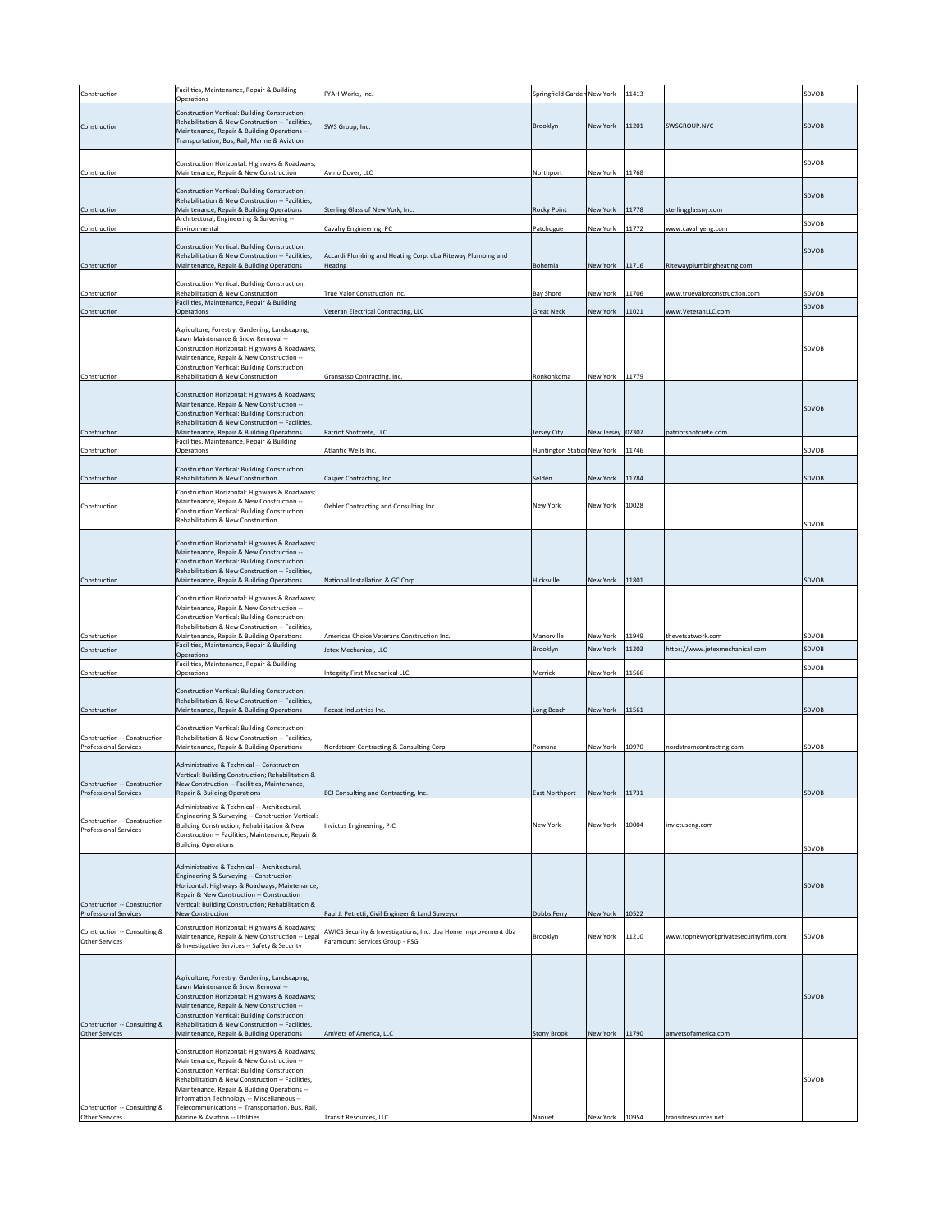| Construction                                                 | Facilities, Maintenance, Repair & Building<br>Operations                                                                                                                                                                                                                                                                                                                            | FYAH Works, Inc.                                               | Springfield Garden New York |                  | 11413 |                                       | SDVOB |
|--------------------------------------------------------------|-------------------------------------------------------------------------------------------------------------------------------------------------------------------------------------------------------------------------------------------------------------------------------------------------------------------------------------------------------------------------------------|----------------------------------------------------------------|-----------------------------|------------------|-------|---------------------------------------|-------|
| Construction                                                 | Construction Vertical: Building Construction;<br>Rehabilitation & New Construction -- Facilities,<br>Maintenance, Repair & Building Operations --<br>Transportation, Bus, Rail, Marine & Aviation                                                                                                                                                                                   | SWS Group, Inc.                                                | Brooklyn                    | New York         | 11201 | SWSGROUP.NYC                          | SDVOB |
| Construction                                                 | Construction Horizontal: Highways & Roadways;<br>Maintenance, Repair & New Construction                                                                                                                                                                                                                                                                                             | Avino Dover, LLC                                               | Northport                   | New York         | 11768 |                                       | SDVOB |
| Construction                                                 | Construction Vertical: Building Construction:<br>Rehabilitation & New Construction -- Facilities.<br>Maintenance, Repair & Building Operations                                                                                                                                                                                                                                      | Sterling Glass of New York, Inc.                               | <b>Rocky Point</b>          | New York         | 11778 | sterlingglassny.com                   | SDVOB |
| Construction                                                 | Architectural, Engineering & Surveying --<br>Environmental                                                                                                                                                                                                                                                                                                                          | Cavalry Engineering, PC                                        | Patchogue                   | New York         | 11772 | www.cavalryeng.com                    | SDVOB |
|                                                              | Construction Vertical: Building Construction;                                                                                                                                                                                                                                                                                                                                       |                                                                |                             |                  |       |                                       |       |
|                                                              | Rehabilitation & New Construction -- Facilities,                                                                                                                                                                                                                                                                                                                                    | Accardi Plumbing and Heating Corp. dba Riteway Plumbing and    |                             |                  | 11716 | Ritewayplumbingheating.com            | SDVOB |
| Construction                                                 | Maintenance, Repair & Building Operations                                                                                                                                                                                                                                                                                                                                           | Heating                                                        | Bohemia                     | New York         |       |                                       |       |
| Construction                                                 | Construction Vertical: Building Construction;<br>Rehabilitation & New Construction                                                                                                                                                                                                                                                                                                  | True Valor Construction Inc.                                   | <b>Bay Shore</b>            | New York         | 11706 | www.truevalorconstruction.com         | SDVOB |
| Construction                                                 | Facilities, Maintenance, Repair & Building<br>Operations                                                                                                                                                                                                                                                                                                                            | Veteran Electrical Contracting, LLC                            | <b>Great Neck</b>           | New York         | 11021 | www.VeteranLLC.com                    | SDVOB |
| Construction                                                 | Agriculture, Forestry, Gardening, Landscaping,<br>Lawn Maintenance & Snow Removal --<br>Construction Horizontal: Highways & Roadways;<br>Maintenance, Repair & New Construction --<br>Construction Vertical: Building Construction;<br>Rehabilitation & New Construction                                                                                                            | Gransasso Contracting, Inc.                                    | Ronkonkoma                  | New York 11779   |       |                                       | SDVOB |
|                                                              |                                                                                                                                                                                                                                                                                                                                                                                     |                                                                |                             |                  |       |                                       |       |
| Construction                                                 | Construction Horizontal: Highways & Roadways;<br>Maintenance, Repair & New Construction --<br>Construction Vertical: Building Construction;<br>Rehabilitation & New Construction -- Facilities,<br>Maintenance, Repair & Building Operations                                                                                                                                        | Patriot Shotcrete, LLC                                         | Jersey City                 | New Jersey 07307 |       | patriotshotcrete.com                  | SDVOB |
| Construction                                                 | Facilities, Maintenance, Repair & Building<br>Operations                                                                                                                                                                                                                                                                                                                            | Atlantic Wells Inc.                                            | Huntington Station New York |                  | 11746 |                                       | SDVOB |
|                                                              | Construction Vertical: Building Construction;                                                                                                                                                                                                                                                                                                                                       |                                                                |                             |                  |       |                                       |       |
| Construction                                                 | Rehabilitation & New Construction                                                                                                                                                                                                                                                                                                                                                   | Casper Contracting, Inc                                        | Selden                      | New York         | 11784 |                                       | SDVOB |
| Construction                                                 | Construction Horizontal: Highways & Roadways;<br>Maintenance, Repair & New Construction --<br>Construction Vertical: Building Construction;<br>Rehabilitation & New Construction                                                                                                                                                                                                    | Oehler Contracting and Consulting Inc.                         | New York                    | New York         | 10028 |                                       | SDVOB |
| Construction                                                 | Construction Horizontal: Highways & Roadways;<br>Maintenance, Repair & New Construction --<br>Construction Vertical: Building Construction;<br>Rehabilitation & New Construction -- Facilities,<br>Maintenance, Repair & Building Operations<br>Construction Horizontal: Highways & Roadways;<br>Maintenance, Repair & New Construction --                                          | National Installation & GC Corp.                               | Hicksville                  | New York 11801   |       |                                       | SDVOB |
| Construction                                                 | Construction Vertical: Building Construction;<br>Rehabilitation & New Construction -- Facilities,<br>Maintenance, Repair & Building Operations                                                                                                                                                                                                                                      | Americas Choice Veterans Construction Inc.                     | Manorville                  | New York         | 11949 | thevetsatwork.com                     | SDVOB |
| Construction                                                 | Facilities, Maintenance, Repair & Building<br>Operations                                                                                                                                                                                                                                                                                                                            | Jetex Mechanical, LLC                                          | Brooklyn                    | New York         | 11203 | https://www.jetexmechanical.com       | SDVOB |
| Construction                                                 | Facilities, Maintenance, Repair & Building<br>Operations                                                                                                                                                                                                                                                                                                                            | Integrity First Mechanical LLC                                 | Merrick                     | New York         | 11566 |                                       | SDVOB |
|                                                              | Construction Vertical: Building Construction;                                                                                                                                                                                                                                                                                                                                       |                                                                |                             |                  |       |                                       |       |
|                                                              | Rehabilitation & New Construction -- Facilities.                                                                                                                                                                                                                                                                                                                                    |                                                                |                             |                  | 11561 |                                       | SDVOB |
| Construction                                                 | Maintenance, Repair & Building Operations                                                                                                                                                                                                                                                                                                                                           | Recast Industries Inc.                                         | Long Beach                  | New York         |       |                                       |       |
| Construction -- Construction<br>Professional Services        | Construction Vertical: Building Construction;<br>Rehabilitation & New Construction -- Facilities,<br>Maintenance, Repair & Building Operations                                                                                                                                                                                                                                      | Nordstrom Contracting & Consulting Corp.                       | Pomona                      | New York         | 10970 | nordstromcontracting.com              | SDVOB |
| Construction -- Construction<br>Professional Services        | Administrative & Technical -- Construction<br>Vertical: Building Construction; Rehabilitation &<br>New Construction -- Facilities, Maintenance,<br><b>Repair &amp; Building Operations</b>                                                                                                                                                                                          | ECJ Consulting and Contracting, Inc.                           | East Northport              | New York         | 11731 |                                       | SDVOB |
|                                                              | Administrative & Technical -- Architectural,                                                                                                                                                                                                                                                                                                                                        |                                                                |                             |                  |       |                                       |       |
| Construction -- Construction<br><b>Professional Services</b> | Engineering & Surveying -- Construction Vertical:<br>Building Construction; Rehabilitation & New<br>Construction -- Facilities, Maintenance, Repair &<br><b>Building Operations</b>                                                                                                                                                                                                 | Invictus Engineering, P.C.                                     | New York                    | New York         | 10004 | invictuseng.com                       | SDVOB |
| Construction -- Construction<br>Professional Services        | Administrative & Technical -- Architectural,<br>Engineering & Surveying -- Construction<br>Horizontal: Highways & Roadways; Maintenance,<br>Repair & New Construction -- Construction<br>Vertical: Building Construction; Rehabilitation &<br>New Construction                                                                                                                      | Paul J. Petretti, Civil Engineer & Land Surveyor               | Dobbs Ferry                 | New York 10522   |       |                                       | SDVOB |
|                                                              | Construction Horizontal: Highways & Roadways;                                                                                                                                                                                                                                                                                                                                       | AWICS Security & Investigations, Inc. dba Home Improvement dba |                             |                  |       |                                       |       |
| Construction -- Consulting &<br>Other Services               | Maintenance, Repair & New Construction -- Legal<br>& Investigative Services -- Safety & Security                                                                                                                                                                                                                                                                                    | Paramount Services Group - PSG                                 | Brooklyn                    | New York         | 11210 | www.topnewyorkprivatesecurityfirm.com | SDVOB |
| Construction -- Consulting &<br>Other Services               | Agriculture, Forestry, Gardening, Landscaping,<br>Lawn Maintenance & Snow Removal --<br>Construction Horizontal: Highways & Roadways;<br>Maintenance, Repair & New Construction --<br>Construction Vertical: Building Construction;<br>Rehabilitation & New Construction -- Facilities,<br>Maintenance, Repair & Building Operations                                                | AmVets of America, LLC                                         | <b>Stony Brook</b>          | New York 11790   |       | amvetsofamerica.com                   | SDVOB |
| Construction -- Consulting &<br>Other Services               | Construction Horizontal: Highways & Roadways;<br>Maintenance, Repair & New Construction --<br>Construction Vertical: Building Construction;<br>Rehabilitation & New Construction -- Facilities,<br>Maintenance, Repair & Building Operations --<br>Information Technology -- Miscellaneous --<br>Telecommunications -- Transportation, Bus, Rail,<br>Marine & Aviation -- Utilities | Transit Resources, LLC                                         | Nanuet                      | <b>New York</b>  | 10954 | ransitresources.net                   | SDVOB |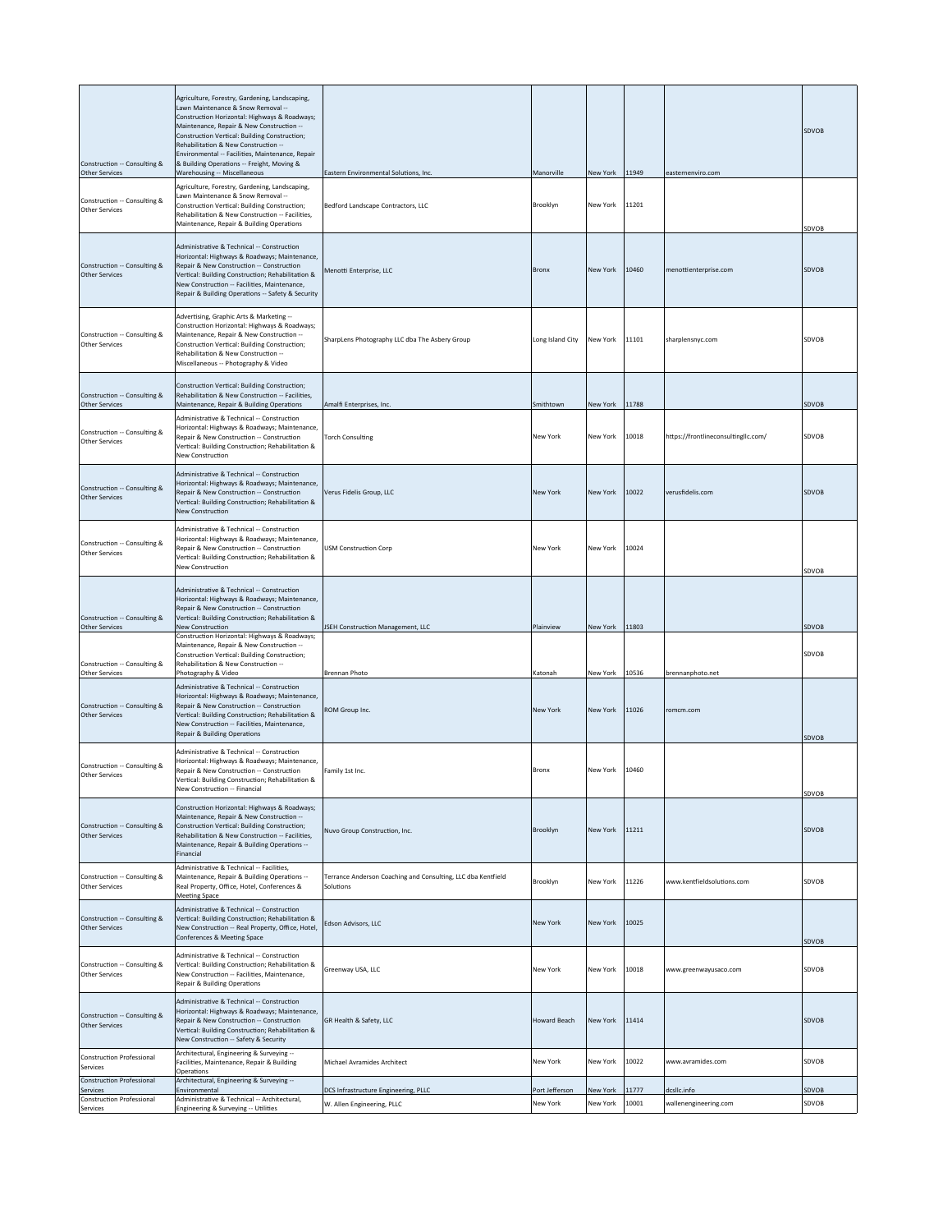| Construction -- Consulting &<br>Other Services                                   | Agriculture, Forestry, Gardening, Landscaping,<br>Lawn Maintenance & Snow Removal --<br>Construction Horizontal: Highways & Roadways;<br>Maintenance, Repair & New Construction --<br>Construction Vertical: Building Construction;<br>Rehabilitation & New Construction --<br>Environmental -- Facilities, Maintenance, Repair<br>& Building Operations -- Freight, Moving &<br>Warehousing -- Miscellaneous | Eastern Environmental Solutions, Inc.                                     | Manorville       | New York 11949 |       | easternenviro.com                   | SDVOB |
|----------------------------------------------------------------------------------|---------------------------------------------------------------------------------------------------------------------------------------------------------------------------------------------------------------------------------------------------------------------------------------------------------------------------------------------------------------------------------------------------------------|---------------------------------------------------------------------------|------------------|----------------|-------|-------------------------------------|-------|
| Construction -- Consulting &<br><b>Other Services</b>                            | Agriculture, Forestry, Gardening, Landscaping,<br>Lawn Maintenance & Snow Removal --<br>Construction Vertical: Building Construction;<br>Rehabilitation & New Construction -- Facilities,<br>Maintenance, Repair & Building Operations                                                                                                                                                                        | Bedford Landscape Contractors, LLC                                        | Brooklyn         | New York       | 11201 |                                     | SDVOB |
| Construction -- Consulting &<br><b>Other Services</b>                            | Administrative & Technical -- Construction<br>Horizontal: Highways & Roadways; Maintenance,<br>Repair & New Construction -- Construction<br>Vertical: Building Construction; Rehabilitation &<br>New Construction -- Facilities, Maintenance,<br>Repair & Building Operations -- Safety & Security                                                                                                            | Menotti Enterprise, LLC                                                   | <b>Bronx</b>     | New York       | 10460 | menottienterprise.com               | SDVOB |
| Construction -- Consulting &<br><b>Other Services</b>                            | Advertising, Graphic Arts & Marketing --<br>Construction Horizontal: Highways & Roadways;<br>Maintenance, Repair & New Construction --<br>Construction Vertical: Building Construction;<br>Rehabilitation & New Construction --<br>Miscellaneous -- Photography & Video                                                                                                                                       | SharpLens Photography LLC dba The Asbery Group                            | Long Island City | New York       | 11101 | sharplensnyc.com                    | SDVOB |
| Construction -- Consulting &<br><b>Other Services</b>                            | Construction Vertical: Building Construction;<br>Rehabilitation & New Construction -- Facilities,<br>Maintenance, Repair & Building Operations                                                                                                                                                                                                                                                                | Amalfi Enterprises, Inc.                                                  | Smithtown        | New York       | 11788 |                                     | SDVOB |
| Construction -- Consulting &<br><b>Other Services</b>                            | Administrative & Technical -- Construction<br>Horizontal: Highways & Roadways; Maintenance,<br>Repair & New Construction -- Construction<br>Vertical: Building Construction; Rehabilitation &<br><b>New Construction</b>                                                                                                                                                                                      | <b>Torch Consulting</b>                                                   | New York         | New York       | 10018 | https://frontlineconsultingllc.com/ | SDVOB |
| Construction -- Consulting &<br><b>Other Services</b>                            | Administrative & Technical -- Construction<br>Horizontal: Highways & Roadways; Maintenance,<br>Repair & New Construction -- Construction<br>Vertical: Building Construction; Rehabilitation &<br><b>New Construction</b>                                                                                                                                                                                      | Verus Fidelis Group, LLC                                                  | New York         | New York       | 10022 | verusfidelis.com                    | SDVOB |
| Construction -- Consulting &<br><b>Other Services</b>                            | Administrative & Technical -- Construction<br>Horizontal: Highways & Roadways; Maintenance,<br>Repair & New Construction -- Construction<br>Vertical: Building Construction; Rehabilitation &<br>New Construction                                                                                                                                                                                             | <b>USM Construction Corp</b>                                              | New York         | New York       | 10024 |                                     | SDVOB |
| Construction -- Consulting &<br><b>Other Services</b>                            | Administrative & Technical -- Construction<br>Horizontal: Highways & Roadways; Maintenance,<br>Repair & New Construction -- Construction<br>Vertical: Building Construction; Rehabilitation &<br>New Construction                                                                                                                                                                                             | JSEH Construction Management, LLC                                         | Plainview        | New York 11803 |       |                                     | SDVOB |
| Construction -- Consulting &<br><b>Other Services</b>                            | Construction Horizontal: Highways & Roadways;<br>Maintenance, Repair & New Construction --<br>Construction Vertical: Building Construction;<br>Rehabilitation & New Construction --<br>Photography & Video                                                                                                                                                                                                    | Brennan Photo                                                             | Katonah          | New York 10536 |       | brennanphoto.net                    | SDVOB |
| Construction -- Consulting &<br><b>Other Services</b>                            | Administrative & Technical -- Construction<br>Horizontal: Highways & Roadways; Maintenance,<br>Repair & New Construction -- Construction<br>Vertical: Building Construction; Rehabilitation &<br>New Construction -- Facilities, Maintenance,<br><b>Repair &amp; Building Operations</b>                                                                                                                      | ROM Group Inc.                                                            | New York         | New York       | 11026 | romcm.com                           | SDVOB |
| Construction -- Consulting &<br><b>Other Services</b>                            | Administrative & Technical -- Construction<br>Horizontal: Highways & Roadways; Maintenance,<br>Repair & New Construction -- Construction<br>Vertical: Building Construction; Rehabilitation &<br>New Construction -- Financial                                                                                                                                                                                | Family 1st Inc.                                                           | Bronx            | New York       | 10460 |                                     | SDVOB |
| Construction -- Consulting &<br><b>Other Services</b>                            | Construction Horizontal: Highways & Roadways;<br>Maintenance, Repair & New Construction --<br>Construction Vertical: Building Construction;<br>Rehabilitation & New Construction -- Facilities,<br>Maintenance, Repair & Building Operations --<br>Financial                                                                                                                                                  | Nuvo Group Construction, Inc.                                             | Brooklyn         | New York       | 11211 |                                     | SDVOB |
| Construction -- Consulting &<br><b>Other Services</b>                            | Administrative & Technical -- Facilities,<br>Maintenance, Repair & Building Operations --<br>Real Property, Office, Hotel, Conferences &<br><b>Meeting Space</b>                                                                                                                                                                                                                                              | Terrance Anderson Coaching and Consulting, LLC dba Kentfield<br>Solutions | Brooklyn         | New York       | 11226 | www.kentfieldsolutions.com          | SDVOB |
| Construction -- Consulting &<br><b>Other Services</b>                            | Administrative & Technical -- Construction<br>Vertical: Building Construction; Rehabilitation &<br>New Construction -- Real Property, Office, Hotel,<br>Conferences & Meeting Space                                                                                                                                                                                                                           | Edson Advisors, LLC                                                       | New York         | New York       | 10025 |                                     | SDVOB |
| Construction -- Consulting &<br><b>Other Services</b>                            | Administrative & Technical -- Construction<br>Vertical: Building Construction; Rehabilitation &<br>New Construction -- Facilities, Maintenance,<br><b>Repair &amp; Building Operations</b>                                                                                                                                                                                                                    | Greenway USA, LLC                                                         | New York         | New York       | 10018 | www.greenwayusaco.com               | SDVOB |
| Construction -- Consulting &<br><b>Other Services</b>                            | Administrative & Technical -- Construction<br>Horizontal: Highways & Roadways; Maintenance,<br>Repair & New Construction -- Construction<br>Vertical: Building Construction; Rehabilitation &<br>New Construction -- Safety & Security                                                                                                                                                                        | GR Health & Safety, LLC                                                   | Howard Beach     | New York       | 11414 |                                     | SDVOB |
| <b>Construction Professional</b><br>Services                                     | Architectural, Engineering & Surveying --<br>Facilities, Maintenance, Repair & Building<br>Operations                                                                                                                                                                                                                                                                                                         | Michael Avramides Architect                                               | New York         | New York       | 10022 | www.avramides.com                   | SDVOB |
| <b>Construction Professional</b><br>Services<br><b>Construction Professional</b> | Architectural, Engineering & Surveying --<br>Environmental<br>Administrative & Technical -- Architectural,                                                                                                                                                                                                                                                                                                    | DCS Infrastructure Engineering, PLLC                                      | Port Jefferson   | New York       | 11777 | dcsllc.info                         | SDVOB |
| Services                                                                         | Engineering & Surveying -- Utilities                                                                                                                                                                                                                                                                                                                                                                          | W. Allen Engineering, PLLC                                                | New York         | New York       | 10001 | wallenengineering.com               | SDVOB |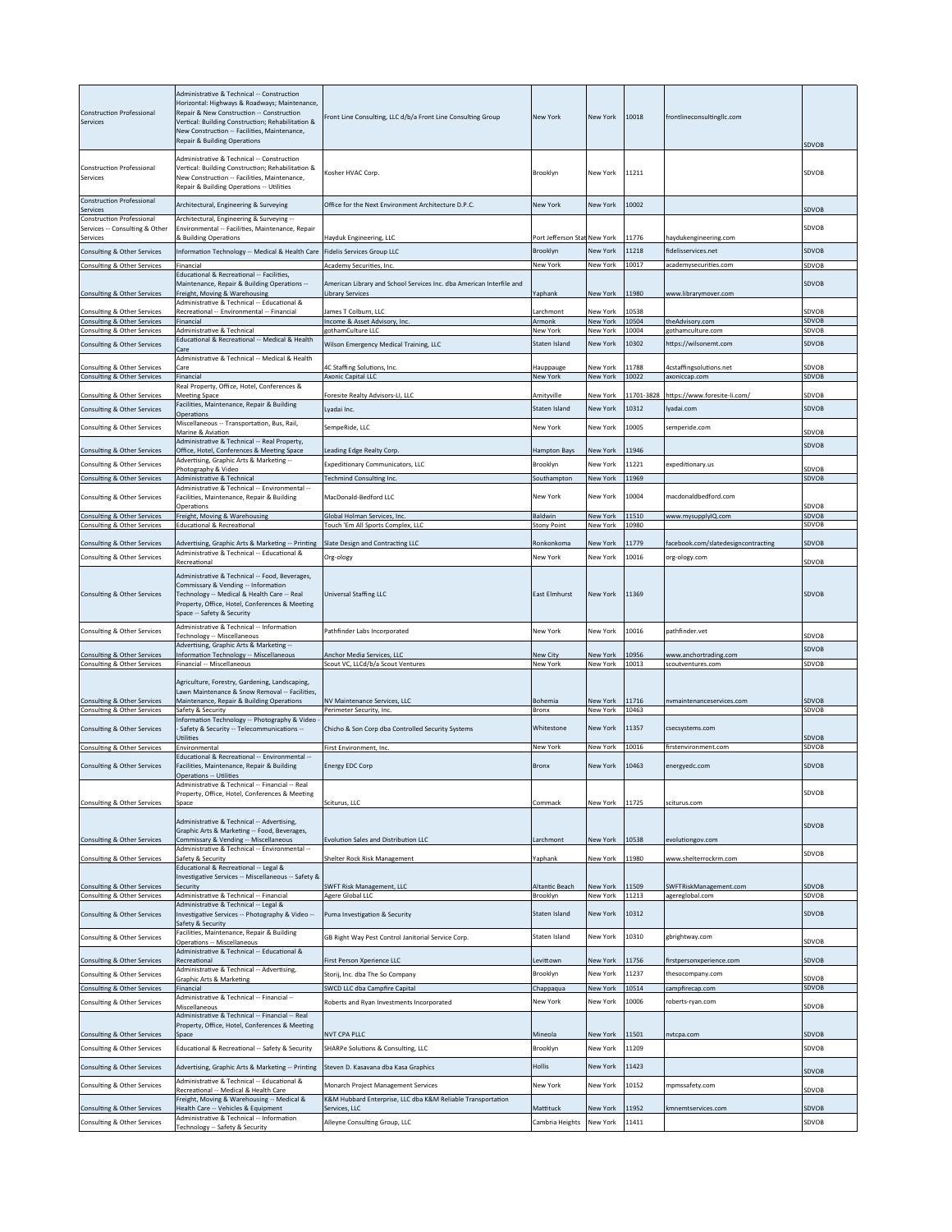| <b>Construction Professional</b><br>Services               | Administrative & Technical -- Construction<br>Horizontal: Highways & Roadways; Maintenance,<br>Repair & New Construction -- Construction<br>Vertical: Building Construction; Rehabilitation &<br>New Construction -- Facilities, Maintenance,<br><b>Repair &amp; Building Operations</b> | Front Line Consulting, LLC d/b/a Front Line Consulting Group                                    | New York                      | New York                    | 10018          | frontlineconsultinglic.com                           | SDVOB                 |
|------------------------------------------------------------|------------------------------------------------------------------------------------------------------------------------------------------------------------------------------------------------------------------------------------------------------------------------------------------|-------------------------------------------------------------------------------------------------|-------------------------------|-----------------------------|----------------|------------------------------------------------------|-----------------------|
| <b>Construction Professional</b><br>Services               | Administrative & Technical -- Construction<br>Vertical: Building Construction; Rehabilitation &<br>New Construction -- Facilities, Maintenance,<br>Repair & Building Operations -- Utilities                                                                                             | Kosher HVAC Corp.                                                                               | Brooklyn                      | New York                    | 11211          |                                                      | SDVOB                 |
| <b>Construction Professional</b><br>Services               | Architectural, Engineering & Surveying                                                                                                                                                                                                                                                   | Office for the Next Environment Architecture D.P.C.                                             | <b>New York</b>               | <b>New York</b>             | 10002          |                                                      | SDVOB                 |
| <b>Construction Professional</b>                           | Architectural, Engineering & Surveying --                                                                                                                                                                                                                                                |                                                                                                 |                               |                             |                |                                                      | SDVOB                 |
| Services -- Consulting & Other<br>Services                 | Environmental -- Facilities, Maintenance, Repair<br>& Building Operations                                                                                                                                                                                                                | Hayduk Engineering, LLC                                                                         | Port Jefferson Stat New York  |                             | 11776          | haydukengineering.com                                |                       |
| Consulting & Other Services                                | Information Technology -- Medical & Health Care                                                                                                                                                                                                                                          | Fidelis Services Group LLC                                                                      | Brooklyn                      | <b>New York</b>             | 11218          | fidelisservices.net                                  | SDVOB                 |
| Consulting & Other Services                                | Financial<br>Educational & Recreational -- Facilities.                                                                                                                                                                                                                                   | Academy Securities, Inc.                                                                        | New York                      | New York                    | 10017          | academysecurities.com                                | SDVOB                 |
| Consulting & Other Services                                | Maintenance, Repair & Building Operations --<br>Freight, Moving & Warehousing<br>Administrative & Technical -- Educational &                                                                                                                                                             | American Library and School Services Inc. dba American Interfile and<br><b>Library Services</b> | Yaphank                       | New York                    | 11980          | www.librarymover.com                                 | SDVOB                 |
| Consulting & Other Services<br>Consulting & Other Services | Recreational -- Environmental -- Financial<br>Financial                                                                                                                                                                                                                                  | James T Colburn, LLC<br>Income & Asset Advisory, Inc.                                           | Larchmont<br>Armonk           | New York<br>New York        | 10538<br>10504 | theAdvisory.com                                      | SDVOB<br><b>SDVOB</b> |
| Consulting & Other Services                                | Administrative & Technical                                                                                                                                                                                                                                                               | gothamCulture LLC                                                                               | New York                      | New York                    | 10004          | gothamculture.com                                    | SDVOB                 |
| Consulting & Other Services                                | Educational & Recreational -- Medical & Health<br>Care                                                                                                                                                                                                                                   | Wilson Emergency Medical Training, LLC                                                          | Staten Island                 | New York                    | 10302          | https://wilsonemt.com                                | SDVOB                 |
|                                                            | Administrative & Technical -- Medical & Health                                                                                                                                                                                                                                           |                                                                                                 |                               |                             |                |                                                      |                       |
| Consulting & Other Services<br>Consulting & Other Services | Care<br>Financial                                                                                                                                                                                                                                                                        | 4C Staffing Solutions, Inc.<br>Axonic Capital LLC                                               | Hauppauge<br>New York         | <b>New York</b><br>New York | 11788<br>10022 | 4cstaffingsolutions.net<br>axoniccap.com             | SDVOB<br>SDVOB        |
| Consulting & Other Services                                | Real Property, Office, Hotel, Conferences &<br><b>Meeting Space</b>                                                                                                                                                                                                                      | Foresite Realty Advisors-LI, LLC                                                                | Amityville                    | New York                    | 11701-3828     | https://www.foresite-li.com/                         | SDVOB                 |
| Consulting & Other Services                                | Facilities, Maintenance, Repair & Building                                                                                                                                                                                                                                               | I vadai Inc.                                                                                    | Staten Island                 | New York                    | 10312          | yadai.com                                            | SDVOB                 |
|                                                            | Operations<br>Miscellaneous -- Transportation, Bus, Rail,                                                                                                                                                                                                                                |                                                                                                 |                               |                             |                |                                                      |                       |
| Consulting & Other Services                                | Marine & Aviation<br>Administrative & Technical -- Real Property,                                                                                                                                                                                                                        | SempeRide, LLC                                                                                  | New York                      | New York                    | 10005          | emperide.com                                         | SDVOB                 |
| Consulting & Other Services                                | Office, Hotel, Conferences & Meeting Space                                                                                                                                                                                                                                               | Leading Edge Realty Corp.                                                                       | <b>Hampton Bays</b>           | New York                    | 11946          |                                                      | SDVOB                 |
| Consulting & Other Services                                | Advertising, Graphic Arts & Marketing --<br>Photography & Video                                                                                                                                                                                                                          | Expeditionary Communicators, LLC                                                                | Brooklyn                      | New York                    | 11221          | expeditionary.us                                     | SDVOB                 |
| Consulting & Other Services                                | Administrative & Technical                                                                                                                                                                                                                                                               | <b>Techmind Consulting Inc.</b>                                                                 | Southampton                   | New York                    | 11969          |                                                      | <b>SDVOB</b>          |
| Consulting & Other Services                                | -- Administrative & Technical -- Environmental<br>Facilities, Maintenance, Repair & Building<br>Operations                                                                                                                                                                               | MacDonald-Bedford LLC                                                                           | New York                      | New York                    | 10004          | macdonaldbedford.com                                 | SDVOB                 |
| Consulting & Other Services<br>Consulting & Other Services | Freight, Moving & Warehousing<br><b>Educational &amp; Recreational</b>                                                                                                                                                                                                                   | Global Holman Services, Inc.<br>Touch 'Em All Sports Complex, LLC                               | Baldwin<br><b>Stony Point</b> | New York<br>New York        | 11510<br>10980 | www.mysupplyIQ.com                                   | SDVOB<br>SDVOB        |
|                                                            |                                                                                                                                                                                                                                                                                          |                                                                                                 |                               |                             | 11779          |                                                      | SDVOB                 |
| Consulting & Other Services<br>Consulting & Other Services | Advertising, Graphic Arts & Marketing -- Printing<br>Administrative & Technical -- Educational &                                                                                                                                                                                         | Slate Design and Contracting LLC<br>Org-ology                                                   | Ronkonkoma<br>New York        | New York<br>New York        | 10016          | facebook.com/slatedesigncontracting<br>org-ology.com |                       |
|                                                            | Recreational                                                                                                                                                                                                                                                                             |                                                                                                 |                               |                             |                |                                                      | SDVOB                 |
| Consulting & Other Services                                | Administrative & Technical -- Food, Beverages,<br>Commissary & Vending -- Information<br>Technology -- Medical & Health Care -- Real<br>Property, Office, Hotel, Conferences & Meeting<br>Space -- Safety & Security                                                                     | Universal Staffing LLC                                                                          | East Elmhurst                 | New York                    | 11369          |                                                      | SDVOB                 |
| Consulting & Other Services                                | Administrative & Technical -- Information<br>Technology -- Miscellaneous                                                                                                                                                                                                                 | Pathfinder Labs Incorporated                                                                    | New York                      | New York                    | 10016          | pathfinder.vet                                       | SDVOB                 |
|                                                            | Advertising, Graphic Arts & Marketing --                                                                                                                                                                                                                                                 |                                                                                                 |                               |                             |                |                                                      | <b>SDVOB</b>          |
| Consulting & Other Services<br>Consulting & Other Services | Information Technology -- Miscellaneous<br>Financial -- Miscellaneous                                                                                                                                                                                                                    | Anchor Media Services, LLC<br>Scout VC, LLCd/b/a Scout Ventures                                 | <b>New City</b><br>New York   | <b>New York</b><br>New York | 10956<br>10013 | www.anchortrading.com<br>scoutventures.com           | SDVOB                 |
|                                                            | Agriculture, Forestry, Gardening, Landscaping,<br>Lawn Maintenance & Snow Removal -- Facilities,                                                                                                                                                                                         |                                                                                                 |                               |                             |                |                                                      |                       |
| Consulting & Other Services<br>Consulting & Other Services | Maintenance, Repair & Building Operations<br>Safety & Security                                                                                                                                                                                                                           | NV Maintenance Services, LLC<br>Perimeter Security, Inc.                                        | Bohemia<br>Bronx              | New York<br>New York        | 11716<br>10463 | nvmaintenanceservices.com                            | <b>SDVOB</b><br>SDVOB |
| Consulting & Other Services                                | Information Technology -- Photography & Video<br>Safety & Security -- Telecommunications --<br>Utilities                                                                                                                                                                                 | Chicho & Son Corp dba Controlled Security Systems                                               | Whitestone                    | New York                    | 11357          | csecsystems.com                                      | SDVOB                 |
| Consulting & Other Services                                | <b>Fnvironmental</b><br>Educational & Recreational -- Environmental --                                                                                                                                                                                                                   | First Environment, Inc.                                                                         | New York                      | New York                    | 10016          | firstenvironment.com                                 | SDVOB                 |
| Consulting & Other Services                                | Facilities, Maintenance, Repair & Building<br><b>Operations -- Utilities</b><br>Administrative & Technical -- Financial -- Real                                                                                                                                                          | Energy EDC Corp                                                                                 | Bronx                         | New York                    | 10463          | energyedc.com                                        | SDVOB                 |
| Consulting & Other Services                                | Property, Office, Hotel, Conferences & Meeting<br>Space                                                                                                                                                                                                                                  | Sciturus, LLC                                                                                   | Commack                       | New York                    | 11725          | sciturus.com                                         | SDVOB                 |
| Consulting & Other Services                                | Administrative & Technical -- Advertising,<br>Graphic Arts & Marketing -- Food, Beverages,<br>Commissary & Vending -- Miscellaneous                                                                                                                                                      | Evolution Sales and Distribution LLC                                                            | Larchmont                     | New York                    | 10538          | evolutiongov.com                                     | SDVOB                 |
|                                                            | Administrative & Technical -- Environmental --                                                                                                                                                                                                                                           |                                                                                                 |                               |                             |                |                                                      | SDVOB                 |
| Consulting & Other Services                                | Safety & Security<br>Educational & Recreational -- Legal &                                                                                                                                                                                                                               | Shelter Rock Risk Management                                                                    | Yaphank                       | New York                    | 11980          | www.shelterrockrm.com                                |                       |
| Consulting & Other Services                                | Investigative Services -- Miscellaneous -- Safety &<br>Security                                                                                                                                                                                                                          | SWFT Risk Management, LLC                                                                       | Altantic Beach                | New York                    | 11509          | SWFTRiskManagement.com                               | SDVOB                 |
| Consulting & Other Services                                | Administrative & Technical -- Financial                                                                                                                                                                                                                                                  | Agere Global LLC                                                                                | Brooklyn                      | New York                    | 11213          | agereglobal.com                                      | SDVOB                 |
| Consulting & Other Services                                | Administrative & Technical -- Legal &<br>Investigative Services -- Photography & Video --<br>Safety & Security                                                                                                                                                                           | Puma Investigation & Security                                                                   | Staten Island                 | New York                    | 10312          |                                                      | SDVOB                 |
| Consulting & Other Services                                | Facilities, Maintenance, Repair & Building<br>Operations -- Miscellaneous                                                                                                                                                                                                                | GB Right Way Pest Control Janitorial Service Corp.                                              | Staten Island                 | New York                    | 10310          | gbrightway.com                                       | SDVOB                 |
|                                                            | Administrative & Technical -- Educational &                                                                                                                                                                                                                                              |                                                                                                 |                               |                             |                |                                                      |                       |
| Consulting & Other Services                                | Recreational<br>Administrative & Technical -- Advertising,                                                                                                                                                                                                                               | First Person Xperience LLC                                                                      | Levittown                     | New York                    | 11756<br>11237 | firstpersonxperience.com                             | SDVOB                 |
| Consulting & Other Services                                | Graphic Arts & Marketing<br>Financial                                                                                                                                                                                                                                                    | Storij, Inc. dba The So Company<br>SWCD LLC dba Campfire Capital                                | Brooklyn                      | New York<br>New York        | 10514          | thesocompany.com                                     | SDVOB<br>SDVOB        |
| Consulting & Other Services<br>Consulting & Other Services | Administrative & Technical -- Financial --                                                                                                                                                                                                                                               | Roberts and Ryan Investments Incorporated                                                       | Chappaqua<br>New York         | New York                    | 10006          | campfirecap.com<br>oberts-ryan.com                   |                       |
|                                                            | Miscellaneous<br>Administrative & Technical -- Financial -- Real                                                                                                                                                                                                                         |                                                                                                 |                               |                             |                |                                                      | SDVOB                 |
|                                                            | Property, Office, Hotel, Conferences & Meeting                                                                                                                                                                                                                                           |                                                                                                 |                               |                             |                |                                                      |                       |
| Consulting & Other Services                                | Space                                                                                                                                                                                                                                                                                    | <b>NVT CPA PLLC</b>                                                                             | Mineola<br>Brooklyn           | New York<br>New York        | 11501<br>11209 | nvtcpa.com                                           | SDVOB<br>SDVOB        |
| Consulting & Other Services                                | Educational & Recreational -- Safety & Security                                                                                                                                                                                                                                          | SHARPe Solutions & Consulting, LLC                                                              |                               |                             |                |                                                      |                       |
| Consulting & Other Services                                | Advertising, Graphic Arts & Marketing -- Printing                                                                                                                                                                                                                                        | Steven D. Kasavana dba Kasa Graphics                                                            | Hollis                        | New York                    | 11423          |                                                      | SDVOB                 |
| Consulting & Other Services                                | Administrative & Technical -- Educational &<br>Recreational -- Medical & Health Care                                                                                                                                                                                                     | Monarch Project Management Services                                                             | New York                      | New York                    | 10152          | mpmssafety.com                                       | SDVOB                 |
|                                                            | Freight, Moving & Warehousing -- Medical &                                                                                                                                                                                                                                               | K&M Hubbard Enterprise, LLC dba K&M Reliable Transportation                                     |                               |                             |                |                                                      |                       |
| Consulting & Other Services<br>Consulting & Other Services | Health Care -- Vehicles & Equipment<br>Administrative & Technical -- Information                                                                                                                                                                                                         | Services, LLC<br>Alleyne Consulting Group, LLC                                                  | Mattituck<br>Cambria Heights  | New York<br>New York        | 11952<br>11411 | kmnemtservices.com                                   | SDVOB<br>SDVOB        |
|                                                            | Technology -- Safety & Security                                                                                                                                                                                                                                                          |                                                                                                 |                               |                             |                |                                                      |                       |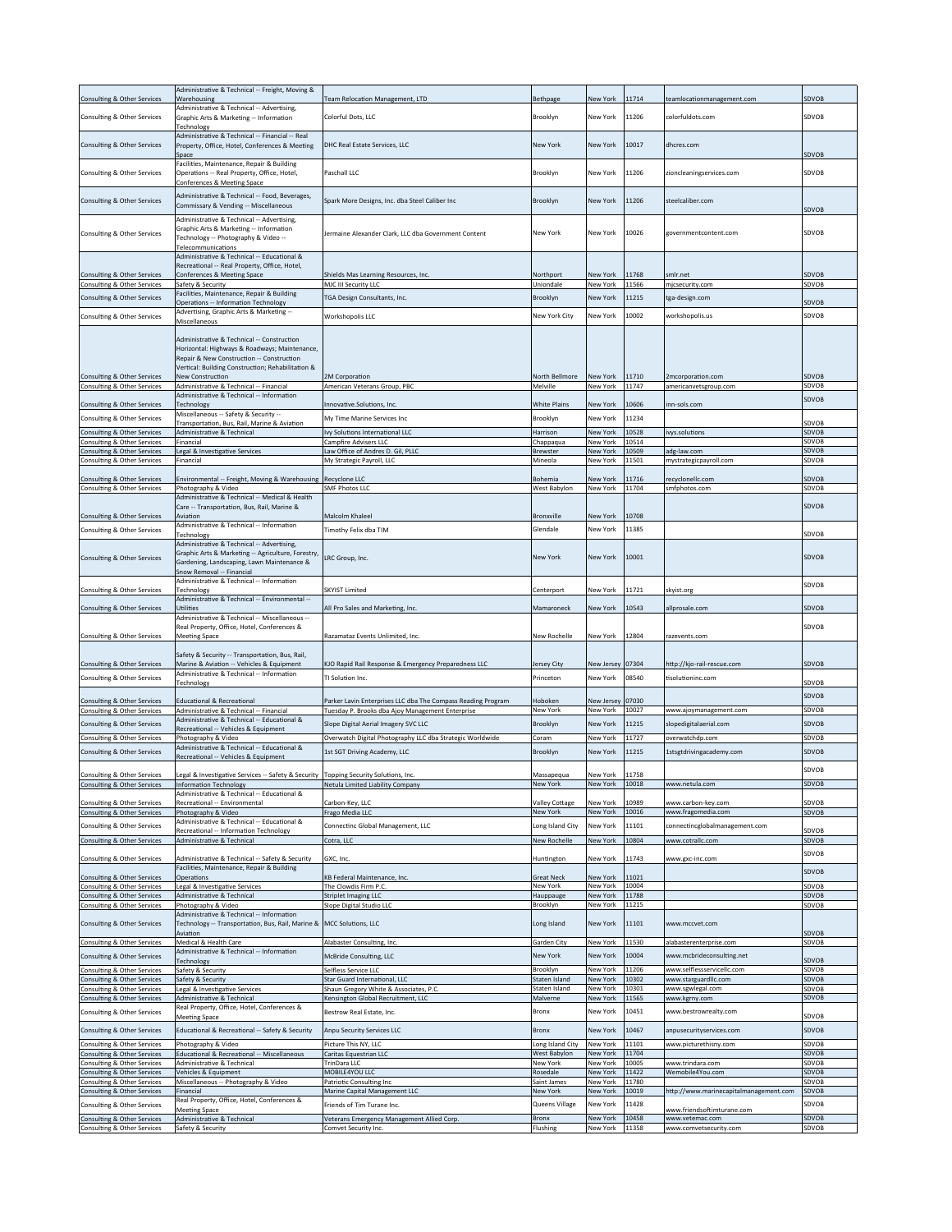|                                                            | Administrative & Technical -- Freight, Moving &                                              |                                                                    |                         |                      |                |                                           |                       |
|------------------------------------------------------------|----------------------------------------------------------------------------------------------|--------------------------------------------------------------------|-------------------------|----------------------|----------------|-------------------------------------------|-----------------------|
| Consulting & Other Services                                | Warehousing                                                                                  | Team Relocation Management, LTD                                    | Bethpage                | New York             | 11714          | teamlocationmanagement.com                | SDVOB                 |
|                                                            | Administrative & Technical -- Advertising,                                                   | Colorful Dots, LLC                                                 |                         | New York             | 11206          | colorfuldots.com                          | SDVOB                 |
| Consulting & Other Services                                | Graphic Arts & Marketing -- Information<br>Technolog                                         |                                                                    | Brooklyn                |                      |                |                                           |                       |
|                                                            | Administrative & Technical -- Financial -- Real                                              |                                                                    |                         |                      |                |                                           |                       |
| Consulting & Other Services                                | Property, Office, Hotel, Conferences & Meeting                                               | DHC Real Estate Services, LLC                                      | <b>New York</b>         | <b>New York</b>      | 10017          | dhcres.com                                |                       |
|                                                            | Space                                                                                        |                                                                    |                         |                      |                |                                           | SDVOB                 |
| Consulting & Other Services                                | Facilities, Maintenance, Repair & Building<br>Operations -- Real Property, Office, Hotel,    | Paschall LLC                                                       | Brooklyn                | New York             | 11206          | zioncleaningservices.com                  | SDVOB                 |
|                                                            | Conferences & Meeting Space                                                                  |                                                                    |                         |                      |                |                                           |                       |
|                                                            |                                                                                              |                                                                    |                         |                      |                |                                           |                       |
| <b>Consulting &amp; Other Services</b>                     | Administrative & Technical -- Food, Beverages,<br>Commissary & Vending -- Miscellaneous      | Spark More Designs, Inc. dba Steel Caliber Inc                     | Brooklyn                | New York             | 11206          | steelcaliber.com                          |                       |
|                                                            |                                                                                              |                                                                    |                         |                      |                |                                           | SDVOB                 |
|                                                            | Administrative & Technical -- Advertising,<br>Graphic Arts & Marketing -- Information        |                                                                    |                         |                      |                |                                           |                       |
| Consulting & Other Services                                | Technology -- Photography & Video --                                                         | Jermaine Alexander Clark, LLC dba Government Content               | New York                | New York             | 10026          | governmentcontent.com                     | SDVOB                 |
|                                                            | Telecommunications                                                                           |                                                                    |                         |                      |                |                                           |                       |
|                                                            | Administrative & Technical -- Educational &                                                  |                                                                    |                         |                      |                |                                           |                       |
|                                                            | Recreational -- Real Property, Office, Hotel,                                                |                                                                    |                         |                      |                |                                           |                       |
| Consulting & Other Services                                | Conferences & Meeting Space                                                                  | Shields Mas Learning Resources, Inc.                               | Northport               | New York             | 11768          | smlr.net                                  | <b>SDVOB</b>          |
| Consulting & Other Services                                | Safety & Security<br>Facilities, Maintenance, Repair & Building                              | MJC III Security LLC                                               | Uniondale               | New York             | 11566          | mjcsecurity.com                           | SDVOB                 |
| Consulting & Other Services                                | Operations -- Information Technology                                                         | TGA Design Consultants, Inc.                                       | Brooklyn                | New York             | 11215          | tga-design.com                            | SDVOB                 |
|                                                            | Advertising, Graphic Arts & Marketing --                                                     |                                                                    | New York City           | New York             | 10002          |                                           | SDVOB                 |
| Consulting & Other Services                                | Miscellaneous                                                                                | Workshopolis LLC                                                   |                         |                      |                | workshopolis.us                           |                       |
|                                                            |                                                                                              |                                                                    |                         |                      |                |                                           |                       |
|                                                            | Administrative & Technical -- Construction                                                   |                                                                    |                         |                      |                |                                           |                       |
|                                                            | Horizontal: Highways & Roadways; Maintenance,<br>Repair & New Construction -- Construction   |                                                                    |                         |                      |                |                                           |                       |
|                                                            | Vertical: Building Construction; Rehabilitation &                                            |                                                                    |                         |                      |                |                                           |                       |
| Consulting & Other Services                                | <b>New Construction</b>                                                                      | 2M Corporation                                                     | North Bellmore          | New York             | 11710          | 2mcorporation.com                         | SDVOB                 |
| Consulting & Other Services                                | Administrative & Technical -- Financial                                                      | American Veterans Group, PBC                                       | Melville                | New York             | 11747          | americanvetsgroup.com                     | SDVOB                 |
|                                                            | Administrative & Technical -- Information                                                    |                                                                    |                         |                      |                |                                           | SDVOB                 |
| Consulting & Other Services                                | Technology                                                                                   | Innovative.Solutions, Inc.                                         | <b>White Plains</b>     | New York             | 10606          | nn-sols.com                               |                       |
| Consulting & Other Services                                | Miscellaneous -- Safety & Security --<br>Fransportation, Bus, Rail, Marine & Aviation        | My Time Marine Services Inc                                        | Brooklyn                | New York             | 11234          |                                           | SDVOB                 |
| Consulting & Other Services                                | Administrative & Technical                                                                   | Ivy Solutions International LLC                                    | Harrison                | New York             | 10528          | ivys.solutions                            | SDVOB                 |
| Consulting & Other Services                                | Financial                                                                                    | <b>Campfire Advisers LLC</b>                                       | Chappaqua               | New York             | 10514          |                                           | SDVOB                 |
| Consulting & Other Services                                | Legal & Investigative Services                                                               | Law Office of Andres D. Gil, PLLC                                  | Brewster                | New York             | 10509          | adg-law.com                               | <b>SDVOB</b>          |
| Consulting & Other Services                                | Financial                                                                                    | My Strategic Payroll, LLC                                          | Mineola                 | New York             | 11501          | mystrategicpayroll.com                    | SDVOB                 |
|                                                            |                                                                                              |                                                                    |                         |                      |                |                                           |                       |
| Consulting & Other Services<br>Consulting & Other Services | Environmental -- Freight, Moving & Warehousing                                               | <b>Recyclone LLC</b><br><b>SMF Photos LLC</b>                      | Bohemia<br>West Babylon | New York<br>New York | 11716<br>11704 | recyclonellc.com                          | <b>SDVOB</b><br>SDVOB |
|                                                            | Photography & Video<br>Administrative & Technical -- Medical & Health                        |                                                                    |                         |                      |                | smfphotos.com                             |                       |
|                                                            | Care -- Transportation, Bus, Rail, Marine &                                                  |                                                                    |                         |                      |                |                                           | SDVOB                 |
| Consulting & Other Services                                | Aviation                                                                                     | Malcolm Khaleel                                                    | Bronxville              | New York             | 10708          |                                           |                       |
|                                                            | Administrative & Technical -- Information                                                    |                                                                    | Glendale                | <b>New York</b>      | 11385          |                                           |                       |
| Consulting & Other Services                                | Technology                                                                                   | Timothy Felix dba TIM                                              |                         |                      |                |                                           | SDVOB                 |
|                                                            | Administrative & Technical -- Advertising,                                                   |                                                                    |                         |                      |                |                                           |                       |
| Consulting & Other Services                                | Graphic Arts & Marketing -- Agriculture, Forestry,                                           | LRC Group, Inc.                                                    | New York                | New York             | 10001          |                                           | <b>SDVOB</b>          |
|                                                            | Gardening, Landscaping, Lawn Maintenance &<br>Snow Removal -- Financial                      |                                                                    |                         |                      |                |                                           |                       |
|                                                            | Administrative & Technical -- Information                                                    |                                                                    |                         |                      |                |                                           |                       |
| Consulting & Other Services                                | Technology                                                                                   | SKYIST Limited                                                     | Centerport              | New York             | 11721          | skyist.org                                | SDVOB                 |
|                                                            | Administrative & Technical -- Environmental --                                               |                                                                    |                         |                      |                |                                           |                       |
| Consulting & Other Services                                | Utilities                                                                                    | All Pro Sales and Marketing, Inc.                                  | Mamaroneck              | New York             | 10543          | allprosale.com                            | SDVOB                 |
|                                                            |                                                                                              |                                                                    |                         |                      |                |                                           |                       |
|                                                            | Administrative & Technical -- Miscellaneous --                                               |                                                                    |                         |                      |                |                                           |                       |
|                                                            | Real Property, Office, Hotel, Conferences &                                                  |                                                                    |                         |                      |                |                                           | SDVOB                 |
| Consulting & Other Services                                | <b>Meeting Space</b>                                                                         | Razamataz Events Unlimited, Inc.                                   | New Rochelle            | New York             | 12804          | razevents.com                             |                       |
|                                                            |                                                                                              |                                                                    |                         |                      |                |                                           |                       |
| Consulting & Other Services                                | Safety & Security -- Transportation, Bus, Rail,<br>Marine & Aviation -- Vehicles & Equipment | KJO Rapid Rail Response & Emergency Preparedness LLC               | Jersey City             | New Jersey           | 07304          | http://kjo-rail-rescue.com                | SDVOB                 |
|                                                            | Administrative & Technical -- Information                                                    |                                                                    |                         |                      |                |                                           |                       |
| Consulting & Other Services                                | Technology                                                                                   | TI Solution Inc.                                                   | Princeton               | New York             | 08540          | tisolutioninc.com                         | SDVOB                 |
|                                                            |                                                                                              |                                                                    |                         |                      |                |                                           | <b>SDVOB</b>          |
| Consulting & Other Services                                | <b>Educational &amp; Recreational</b>                                                        | Parker Lavin Enterprises LLC dba The Compass Reading Program       | Hoboken                 | New Jersey           | 07030          |                                           |                       |
| Consulting & Other Services                                | Administrative & Technical -- Financial                                                      | Tuesday P. Brooks dba Ajoy Management Enterprise                   | New York                | New York             | 10027          | www.ajoymanagement.com                    | SDVOB                 |
| Consulting & Other Services                                | Administrative & Technical -- Educational &                                                  | Slope Digital Aerial Imagery SVC LLC                               | Brooklyn                | <b>New York</b>      | 11215          | slopedigitalaerial.com                    | SDVOB                 |
| Consulting & Other Services                                | Recreational -- Vehicles & Equipment<br>Photography & Video                                  | Overwatch Digital Photography LLC dba Strategic Worldwide          | Coram                   | New York             | 11727          | overwatchdp.com                           | SDVOB                 |
|                                                            | Administrative & Technical -- Educational &                                                  |                                                                    | Brooklyn                | <b>New York</b>      | 11215          | 1stsgtdrivingacademy.com                  | SDVOB                 |
| Consulting & Other Services                                | Recreational -- Vehicles & Equipment                                                         | 1st SGT Driving Academy, LLC                                       |                         |                      |                |                                           |                       |
|                                                            |                                                                                              |                                                                    |                         |                      |                |                                           | SDVOB                 |
| Consulting & Other Services                                | Legal & Investigative Services -- Safety & Security Topping Security Solutions, Inc.         |                                                                    | Massapequa              | New York             | 11758          |                                           |                       |
| Consulting & Other Services                                | Information Technology<br>Administrative & Technical -- Educational &                        | Netula Limited Liability Company                                   | New York                | New York             | 10018          | www.netula.com                            | SDVOB                 |
| Consulting & Other Services                                | Recreational -- Environmental                                                                | Carbon-Key, LLC                                                    | Valley Cottage          | New York             | 10989          | www.carbon-key.com                        | SDVOB                 |
| Consulting & Other Services                                | Photography & Video                                                                          | Frago Media LLC                                                    | New York                | New York             | 10016          | www.fragomedia.com                        | SDVOB                 |
| Consulting & Other Services                                | Administrative & Technical -- Educational &                                                  | Connectinc Global Management, LLC                                  | Long Island City        | New York             | 11101          | connectincglobalmanagement.com            |                       |
|                                                            | Recreational -- Information Technology                                                       |                                                                    |                         |                      |                |                                           | SDVOB                 |
| Consulting & Other Services                                | Administrative & Technical                                                                   | Cotra, LLC                                                         | New Rochelle            | New York             | 10804          | www.cotrallc.com                          | SDVOB                 |
| Consulting & Other Services                                | Administrative & Technical -- Safety & Security                                              | GXC, Inc.                                                          | Huntington              | New York             | 11743          | www.gxc-inc.com                           | SDVOB                 |
|                                                            | Facilities, Maintenance, Repair & Building                                                   |                                                                    |                         |                      |                |                                           |                       |
| Consulting & Other Services                                | Operations                                                                                   | KB Federal Maintenance, Inc.                                       | <b>Great Neck</b>       | New York             | 11021          |                                           | SDVOB                 |
| Consulting & Other Services                                | Legal & Investigative Services                                                               | The Clowdis Firm P.C.                                              | New York                | New York             | 10004          |                                           | SDVOB                 |
| Consulting & Other Services                                | Administrative & Technical                                                                   | <b>Striplet Imaging LLC</b>                                        | Hauppauge               | New York             | 11788          |                                           | SDVOB                 |
| Consulting & Other Services                                | Photography & Video                                                                          | Slope Digital Studio LLC                                           | Brooklyn                | New York             | 11215          |                                           | SDVOB                 |
|                                                            | Administrative & Technical -- Information                                                    |                                                                    | Long Island             | New York             | 11101          | www.mccvet.com                            |                       |
| Consulting & Other Services                                | Technology -- Transportation, Bus, Rail, Marine & MCC Solutions, LLC<br>Aviation             |                                                                    |                         |                      |                |                                           | <b>SDVOB</b>          |
| Consulting & Other Services                                | Medical & Health Care                                                                        | Alabaster Consulting, Inc.                                         | Garden City             | New York             | 11530          | alabasterenterprise.com                   | SDVOB                 |
|                                                            | Administrative & Technical -- Information                                                    |                                                                    |                         |                      |                |                                           |                       |
| Consulting & Other Services                                | Technology                                                                                   | McBride Consulting, LLC                                            | New York                | New York             | 10004          | www.mcbrideconsulting.net                 | SDVOB                 |
| Consulting & Other Services                                | Safety & Security                                                                            | Selfless Service LLC                                               | Brooklyn                | New York             | 11206          | www.selflessservicellc.com                | SDVOB                 |
| Consulting & Other Services                                | Safety & Security                                                                            | Star Guard International, LLC                                      | Staten Island           | New York             | 10302          | www.starguardllc.com                      | SDVOB                 |
| Consulting & Other Services                                | Legal & Investigative Services                                                               | Shaun Gregory White & Associates, P.C.                             | Staten Island           | New York             | 10301          | www.sgwlegal.com                          | SDVOB                 |
| Consulting & Other Services                                | Administrative & Technical                                                                   | Kensington Global Recruitment, LLC                                 | Malverne                | New York             | 11565          | www.kgrny.com                             | SDVOB                 |
| Consulting & Other Services                                | Real Property, Office, Hotel, Conferences &<br>Meeting Space                                 | Bestrow Real Estate, Inc.                                          | Bronx                   | New York             | 10451          | www.bestrowrealty.com                     | SDVOB                 |
|                                                            |                                                                                              |                                                                    |                         |                      |                |                                           |                       |
| Consulting & Other Services                                | Educational & Recreational -- Safety & Security                                              | Anpu Security Services LLC                                         | <b>Bronx</b>            | New York             | 10467          | anpusecurityservices.com                  | SDVOB                 |
| Consulting & Other Services                                | Photography & Video                                                                          | Picture This NY, LLC                                               | Long Island City        | New York             | 11101          | www.picturethisny.com                     | SDVOB                 |
| Consulting & Other Services                                | Educational & Recreational -- Miscellaneous                                                  | Caritas Equestrian LLC                                             | West Babylon            | New York             | 11704          |                                           | SDVOB                 |
| Consulting & Other Services                                | Administrative & Technical                                                                   | TrinDara LLC                                                       | New York<br>Rosedale    | New York<br>New York | 10005<br>11422 | www.trindara.com<br>Wemobile4You.com      | SDVOB<br>SDVOB        |
| Consulting & Other Services<br>Consulting & Other Services | Vehicles & Equipment<br>Miscellaneous -- Photography & Video                                 | MOBILE4YOU LLC<br>Patriotic Consulting Inc                         | Saint James             | New York             | 11780          |                                           | SDVOB                 |
| Consulting & Other Services                                | Financial                                                                                    | Marine Capital Management LLC                                      | New York                | New York             | 10019          | http://www.marinecapitalmanagement.com    | SDVOB                 |
|                                                            | Real Property, Office, Hotel, Conferences &                                                  | Friends of Tim Turane Inc.                                         |                         |                      | 11428          |                                           | SDVOB                 |
| Consulting & Other Services                                | <b>Meeting Space</b>                                                                         |                                                                    | Queens Village          | New York             |                | www.friendsoftimturane.com                |                       |
| Consulting & Other Services<br>Consulting & Other Services | Administrative & Technical<br>Safety & Security                                              | Veterans Emergency Management Allied Corp.<br>Comvet Security Inc. | Bronx<br>Flushing       | New York<br>New York | 10458<br>11358 | www.vetemac.com<br>www.comvetsecurity.com | SDVOB<br>SDVOB        |